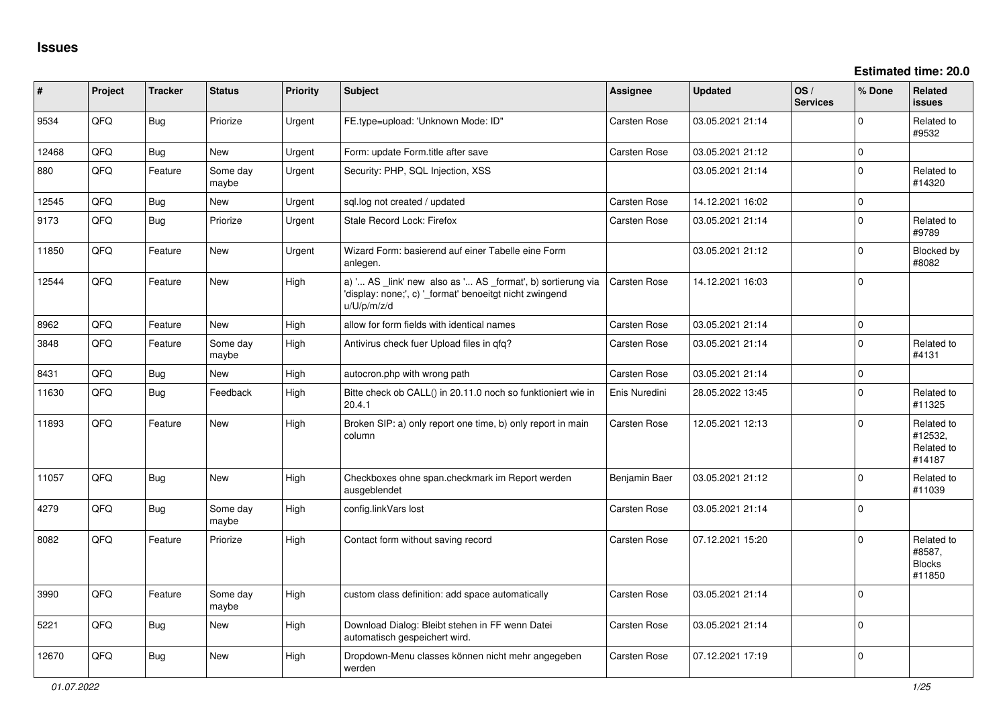| #     | Project | <b>Tracker</b> | <b>Status</b>     | <b>Priority</b> | <b>Subject</b>                                                                                                                        | <b>Assignee</b>     | <b>Updated</b>   | OS/<br><b>Services</b> | % Done       | Related<br><b>issues</b>                        |
|-------|---------|----------------|-------------------|-----------------|---------------------------------------------------------------------------------------------------------------------------------------|---------------------|------------------|------------------------|--------------|-------------------------------------------------|
| 9534  | QFQ     | Bug            | Priorize          | Urgent          | FE.type=upload: 'Unknown Mode: ID"                                                                                                    | <b>Carsten Rose</b> | 03.05.2021 21:14 |                        | $\Omega$     | Related to<br>#9532                             |
| 12468 | QFQ     | Bug            | New               | Urgent          | Form: update Form.title after save                                                                                                    | <b>Carsten Rose</b> | 03.05.2021 21:12 |                        | $\mathbf{0}$ |                                                 |
| 880   | QFQ     | Feature        | Some day<br>maybe | Urgent          | Security: PHP, SQL Injection, XSS                                                                                                     |                     | 03.05.2021 21:14 |                        | $\mathbf 0$  | Related to<br>#14320                            |
| 12545 | QFQ     | <b>Bug</b>     | New               | Urgent          | sql.log not created / updated                                                                                                         | Carsten Rose        | 14.12.2021 16:02 |                        | $\mathbf 0$  |                                                 |
| 9173  | QFQ     | Bug            | Priorize          | Urgent          | Stale Record Lock: Firefox                                                                                                            | <b>Carsten Rose</b> | 03.05.2021 21:14 |                        | $\mathbf 0$  | Related to<br>#9789                             |
| 11850 | QFQ     | Feature        | <b>New</b>        | Urgent          | Wizard Form: basierend auf einer Tabelle eine Form<br>anlegen.                                                                        |                     | 03.05.2021 21:12 |                        | $\Omega$     | Blocked by<br>#8082                             |
| 12544 | QFQ     | Feature        | <b>New</b>        | High            | a) ' AS _link' new also as ' AS _format', b) sortierung via<br>'display: none;', c) '_format' benoeitgt nicht zwingend<br>u/U/p/m/z/d | <b>Carsten Rose</b> | 14.12.2021 16:03 |                        | $\Omega$     |                                                 |
| 8962  | QFQ     | Feature        | <b>New</b>        | High            | allow for form fields with identical names                                                                                            | <b>Carsten Rose</b> | 03.05.2021 21:14 |                        | $\mathbf{0}$ |                                                 |
| 3848  | QFQ     | Feature        | Some day<br>maybe | High            | Antivirus check fuer Upload files in gfg?                                                                                             | <b>Carsten Rose</b> | 03.05.2021 21:14 |                        | $\Omega$     | Related to<br>#4131                             |
| 8431  | QFQ     | <b>Bug</b>     | <b>New</b>        | High            | autocron.php with wrong path                                                                                                          | <b>Carsten Rose</b> | 03.05.2021 21:14 |                        | $\mathbf{0}$ |                                                 |
| 11630 | QFQ     | Bug            | Feedback          | High            | Bitte check ob CALL() in 20.11.0 noch so funktioniert wie in<br>20.4.1                                                                | Enis Nuredini       | 28.05.2022 13:45 |                        | $\mathbf 0$  | Related to<br>#11325                            |
| 11893 | QFQ     | Feature        | <b>New</b>        | High            | Broken SIP: a) only report one time, b) only report in main<br>column                                                                 | <b>Carsten Rose</b> | 12.05.2021 12:13 |                        | $\Omega$     | Related to<br>#12532.<br>Related to<br>#14187   |
| 11057 | QFQ     | Bug            | <b>New</b>        | High            | Checkboxes ohne span.checkmark im Report werden<br>ausgeblendet                                                                       | Benjamin Baer       | 03.05.2021 21:12 |                        | $\Omega$     | Related to<br>#11039                            |
| 4279  | QFQ     | Bug            | Some day<br>maybe | High            | config.linkVars lost                                                                                                                  | <b>Carsten Rose</b> | 03.05.2021 21:14 |                        | $\mathbf 0$  |                                                 |
| 8082  | QFQ     | Feature        | Priorize          | High            | Contact form without saving record                                                                                                    | <b>Carsten Rose</b> | 07.12.2021 15:20 |                        | $\mathbf 0$  | Related to<br>#8587,<br><b>Blocks</b><br>#11850 |
| 3990  | QFQ     | Feature        | Some day<br>maybe | High            | custom class definition: add space automatically                                                                                      | <b>Carsten Rose</b> | 03.05.2021 21:14 |                        | $\mathbf 0$  |                                                 |
| 5221  | QFQ     | <b>Bug</b>     | New               | High            | Download Dialog: Bleibt stehen in FF wenn Datei<br>automatisch gespeichert wird.                                                      | <b>Carsten Rose</b> | 03.05.2021 21:14 |                        | $\Omega$     |                                                 |
| 12670 | QFQ     | <b>Bug</b>     | <b>New</b>        | High            | Dropdown-Menu classes können nicht mehr angegeben<br>werden                                                                           | <b>Carsten Rose</b> | 07.12.2021 17:19 |                        | $\Omega$     |                                                 |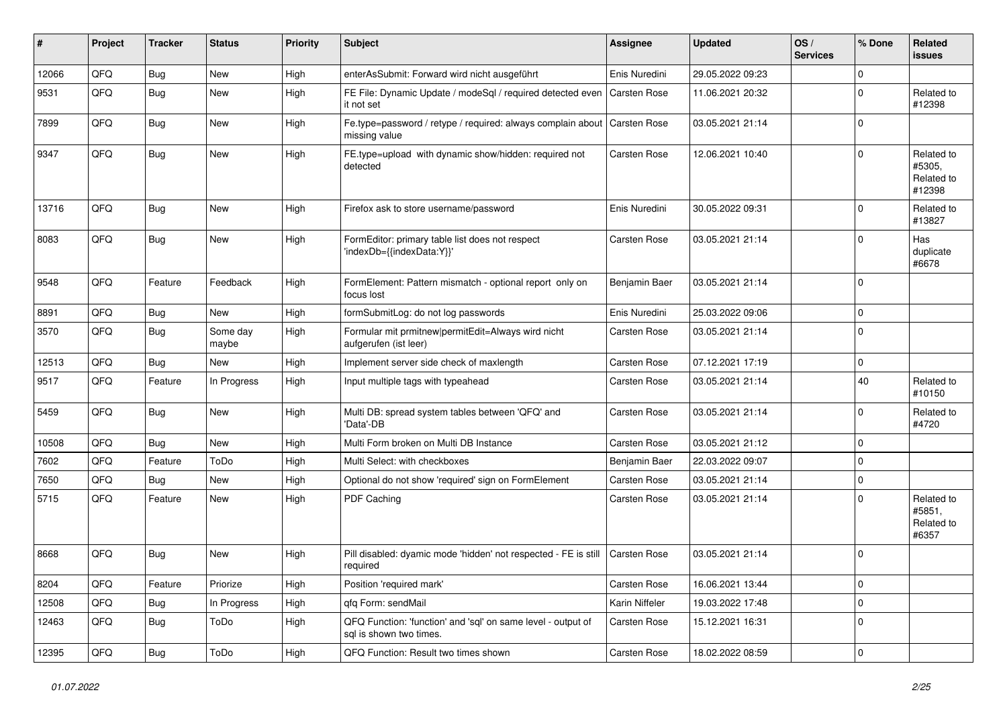| #     | Project | <b>Tracker</b> | <b>Status</b>     | <b>Priority</b> | Subject                                                                                 | <b>Assignee</b>     | <b>Updated</b>   | OS/<br><b>Services</b> | % Done      | Related<br><b>issues</b>                     |
|-------|---------|----------------|-------------------|-----------------|-----------------------------------------------------------------------------------------|---------------------|------------------|------------------------|-------------|----------------------------------------------|
| 12066 | QFQ     | Bug            | <b>New</b>        | High            | enterAsSubmit: Forward wird nicht ausgeführt                                            | Enis Nuredini       | 29.05.2022 09:23 |                        | $\mathbf 0$ |                                              |
| 9531  | QFQ     | Bug            | <b>New</b>        | High            | FE File: Dynamic Update / modeSql / required detected even<br>it not set                | <b>Carsten Rose</b> | 11.06.2021 20:32 |                        | $\Omega$    | Related to<br>#12398                         |
| 7899  | QFQ     | Bug            | New               | High            | Fe.type=password / retype / required: always complain about<br>missing value            | <b>Carsten Rose</b> | 03.05.2021 21:14 |                        | $\mathbf 0$ |                                              |
| 9347  | QFQ     | Bug            | <b>New</b>        | High            | FE.type=upload with dynamic show/hidden: required not<br>detected                       | Carsten Rose        | 12.06.2021 10:40 |                        | $\mathbf 0$ | Related to<br>#5305,<br>Related to<br>#12398 |
| 13716 | QFQ     | Bug            | <b>New</b>        | High            | Firefox ask to store username/password                                                  | Enis Nuredini       | 30.05.2022 09:31 |                        | $\mathbf 0$ | Related to<br>#13827                         |
| 8083  | QFQ     | Bug            | <b>New</b>        | High            | FormEditor: primary table list does not respect<br>'indexDb={{indexData:Y}}'            | Carsten Rose        | 03.05.2021 21:14 |                        | $\mathbf 0$ | Has<br>duplicate<br>#6678                    |
| 9548  | QFQ     | Feature        | Feedback          | High            | FormElement: Pattern mismatch - optional report only on<br>focus lost                   | Benjamin Baer       | 03.05.2021 21:14 |                        | $\mathbf 0$ |                                              |
| 8891  | QFQ     | Bug            | <b>New</b>        | High            | formSubmitLog: do not log passwords                                                     | Enis Nuredini       | 25.03.2022 09:06 |                        | $\mathbf 0$ |                                              |
| 3570  | QFQ     | Bug            | Some day<br>maybe | High            | Formular mit prmitnew permitEdit=Always wird nicht<br>aufgerufen (ist leer)             | Carsten Rose        | 03.05.2021 21:14 |                        | $\mathbf 0$ |                                              |
| 12513 | QFQ     | <b>Bug</b>     | <b>New</b>        | High            | Implement server side check of maxlength                                                | Carsten Rose        | 07.12.2021 17:19 |                        | $\mathbf 0$ |                                              |
| 9517  | QFQ     | Feature        | In Progress       | High            | Input multiple tags with typeahead                                                      | Carsten Rose        | 03.05.2021 21:14 |                        | 40          | Related to<br>#10150                         |
| 5459  | QFQ     | Bug            | New               | High            | Multi DB: spread system tables between 'QFQ' and<br>'Data'-DB                           | Carsten Rose        | 03.05.2021 21:14 |                        | $\mathbf 0$ | Related to<br>#4720                          |
| 10508 | QFQ     | Bug            | <b>New</b>        | High            | Multi Form broken on Multi DB Instance                                                  | Carsten Rose        | 03.05.2021 21:12 |                        | $\Omega$    |                                              |
| 7602  | QFQ     | Feature        | ToDo              | High            | Multi Select: with checkboxes                                                           | Benjamin Baer       | 22.03.2022 09:07 |                        | $\mathbf 0$ |                                              |
| 7650  | QFQ     | <b>Bug</b>     | <b>New</b>        | High            | Optional do not show 'required' sign on FormElement                                     | Carsten Rose        | 03.05.2021 21:14 |                        | $\Omega$    |                                              |
| 5715  | QFQ     | Feature        | New               | High            | PDF Caching                                                                             | Carsten Rose        | 03.05.2021 21:14 |                        | $\mathbf 0$ | Related to<br>#5851.<br>Related to<br>#6357  |
| 8668  | QFQ     | Bug            | <b>New</b>        | High            | Pill disabled: dyamic mode 'hidden' not respected - FE is still<br>required             | <b>Carsten Rose</b> | 03.05.2021 21:14 |                        | $\mathbf 0$ |                                              |
| 8204  | QFQ     | Feature        | Priorize          | High            | Position 'required mark'                                                                | Carsten Rose        | 16.06.2021 13:44 |                        | $\mathbf 0$ |                                              |
| 12508 | QFQ     | Bug            | In Progress       | High            | afa Form: sendMail                                                                      | Karin Niffeler      | 19.03.2022 17:48 |                        | $\mathbf 0$ |                                              |
| 12463 | QFQ     | <b>Bug</b>     | ToDo              | High            | QFQ Function: 'function' and 'sql' on same level - output of<br>sql is shown two times. | Carsten Rose        | 15.12.2021 16:31 |                        | $\mathbf 0$ |                                              |
| 12395 | QFQ     | Bug            | ToDo              | High            | QFQ Function: Result two times shown                                                    | Carsten Rose        | 18.02.2022 08:59 |                        | $\mathbf 0$ |                                              |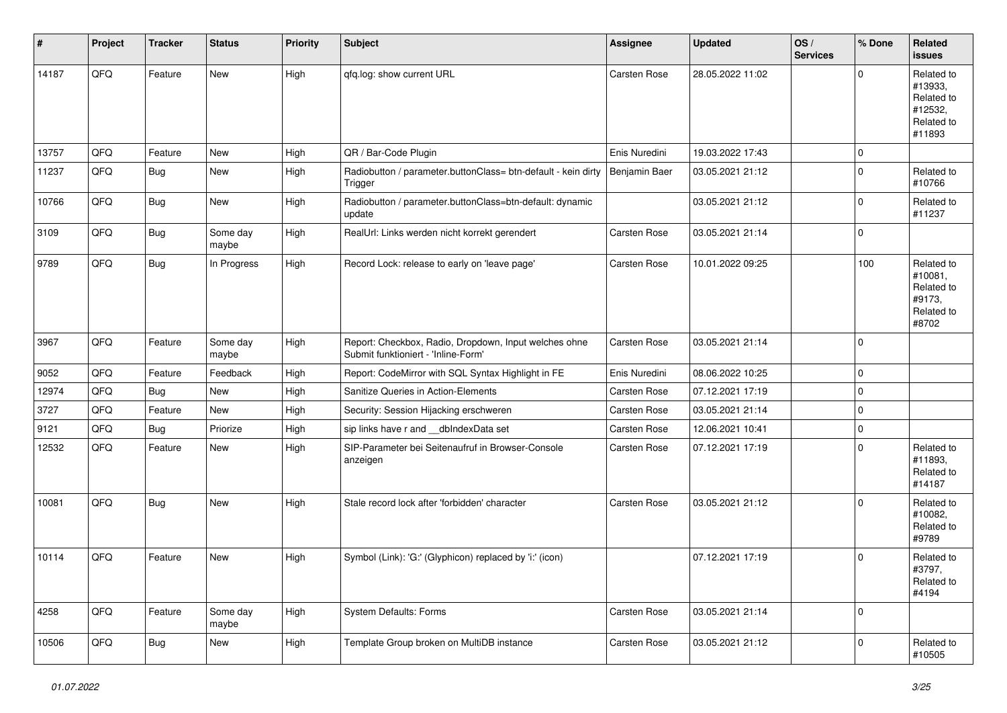| #     | Project | <b>Tracker</b> | <b>Status</b>     | <b>Priority</b> | <b>Subject</b>                                                                               | <b>Assignee</b>     | <b>Updated</b>   | OS/<br><b>Services</b> | % Done      | Related<br><b>issues</b>                                               |
|-------|---------|----------------|-------------------|-----------------|----------------------------------------------------------------------------------------------|---------------------|------------------|------------------------|-------------|------------------------------------------------------------------------|
| 14187 | QFQ     | Feature        | <b>New</b>        | High            | qfq.log: show current URL                                                                    | Carsten Rose        | 28.05.2022 11:02 |                        | $\Omega$    | Related to<br>#13933,<br>Related to<br>#12532,<br>Related to<br>#11893 |
| 13757 | QFQ     | Feature        | New               | High            | QR / Bar-Code Plugin                                                                         | Enis Nuredini       | 19.03.2022 17:43 |                        | $\mathbf 0$ |                                                                        |
| 11237 | QFQ     | Bug            | New               | High            | Radiobutton / parameter.buttonClass= btn-default - kein dirty<br>Trigger                     | Benjamin Baer       | 03.05.2021 21:12 |                        | $\mathbf 0$ | Related to<br>#10766                                                   |
| 10766 | QFQ     | Bug            | New               | High            | Radiobutton / parameter.buttonClass=btn-default: dynamic<br>update                           |                     | 03.05.2021 21:12 |                        | $\mathbf 0$ | Related to<br>#11237                                                   |
| 3109  | QFQ     | Bug            | Some day<br>maybe | High            | RealUrl: Links werden nicht korrekt gerendert                                                | <b>Carsten Rose</b> | 03.05.2021 21:14 |                        | $\mathbf 0$ |                                                                        |
| 9789  | QFQ     | Bug            | In Progress       | High            | Record Lock: release to early on 'leave page'                                                | Carsten Rose        | 10.01.2022 09:25 |                        | 100         | Related to<br>#10081,<br>Related to<br>#9173,<br>Related to<br>#8702   |
| 3967  | QFQ     | Feature        | Some day<br>maybe | High            | Report: Checkbox, Radio, Dropdown, Input welches ohne<br>Submit funktioniert - 'Inline-Form' | Carsten Rose        | 03.05.2021 21:14 |                        | $\Omega$    |                                                                        |
| 9052  | QFQ     | Feature        | Feedback          | High            | Report: CodeMirror with SQL Syntax Highlight in FE                                           | Enis Nuredini       | 08.06.2022 10:25 |                        | $\mathbf 0$ |                                                                        |
| 12974 | QFQ     | Bug            | New               | High            | Sanitize Queries in Action-Elements                                                          | Carsten Rose        | 07.12.2021 17:19 |                        | $\mathbf 0$ |                                                                        |
| 3727  | QFQ     | Feature        | <b>New</b>        | High            | Security: Session Hijacking erschweren                                                       | Carsten Rose        | 03.05.2021 21:14 |                        | $\mathbf 0$ |                                                                        |
| 9121  | QFQ     | Bug            | Priorize          | High            | sip links have r and __dbIndexData set                                                       | Carsten Rose        | 12.06.2021 10:41 |                        | $\mathbf 0$ |                                                                        |
| 12532 | QFQ     | Feature        | New               | High            | SIP-Parameter bei Seitenaufruf in Browser-Console<br>anzeigen                                | Carsten Rose        | 07.12.2021 17:19 |                        | $\Omega$    | Related to<br>#11893,<br>Related to<br>#14187                          |
| 10081 | QFQ     | Bug            | New               | High            | Stale record lock after 'forbidden' character                                                | Carsten Rose        | 03.05.2021 21:12 |                        | $\mathbf 0$ | Related to<br>#10082,<br>Related to<br>#9789                           |
| 10114 | QFQ     | Feature        | New               | High            | Symbol (Link): 'G:' (Glyphicon) replaced by 'i:' (icon)                                      |                     | 07.12.2021 17:19 |                        | $\Omega$    | Related to<br>#3797,<br>Related to<br>#4194                            |
| 4258  | QFG     | Feature        | Some day<br>maybe | High            | <b>System Defaults: Forms</b>                                                                | Carsten Rose        | 03.05.2021 21:14 |                        | $\pmb{0}$   |                                                                        |
| 10506 | QFQ     | Bug            | New               | High            | Template Group broken on MultiDB instance                                                    | Carsten Rose        | 03.05.2021 21:12 |                        | $\mathbf 0$ | Related to<br>#10505                                                   |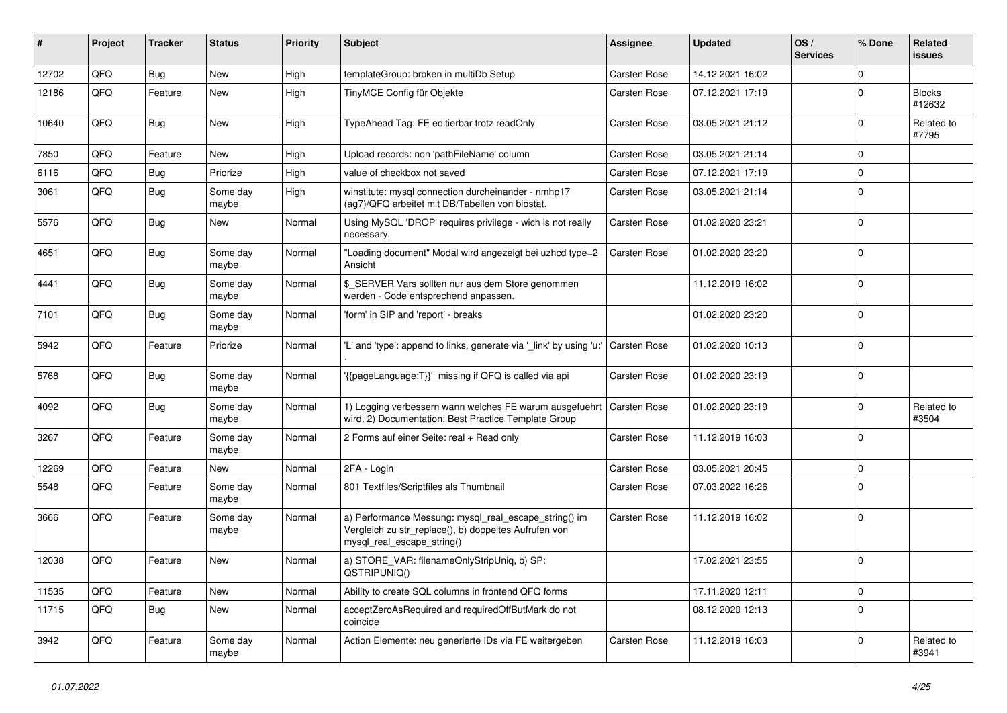| ∦     | Project | <b>Tracker</b> | <b>Status</b>     | <b>Priority</b> | <b>Subject</b>                                                                                                                               | <b>Assignee</b>     | <b>Updated</b>   | OS/<br><b>Services</b> | % Done      | Related<br><b>issues</b> |
|-------|---------|----------------|-------------------|-----------------|----------------------------------------------------------------------------------------------------------------------------------------------|---------------------|------------------|------------------------|-------------|--------------------------|
| 12702 | QFQ     | Bug            | New               | High            | templateGroup: broken in multiDb Setup                                                                                                       | <b>Carsten Rose</b> | 14.12.2021 16:02 |                        | $\mathbf 0$ |                          |
| 12186 | QFQ     | Feature        | <b>New</b>        | High            | TinyMCE Config für Objekte                                                                                                                   | Carsten Rose        | 07.12.2021 17:19 |                        | $\mathbf 0$ | <b>Blocks</b><br>#12632  |
| 10640 | QFQ     | Bug            | New               | High            | TypeAhead Tag: FE editierbar trotz readOnly                                                                                                  | Carsten Rose        | 03.05.2021 21:12 |                        | $\mathbf 0$ | Related to<br>#7795      |
| 7850  | QFQ     | Feature        | New               | High            | Upload records: non 'pathFileName' column                                                                                                    | Carsten Rose        | 03.05.2021 21:14 |                        | $\mathbf 0$ |                          |
| 6116  | QFQ     | Bug            | Priorize          | High            | value of checkbox not saved                                                                                                                  | Carsten Rose        | 07.12.2021 17:19 |                        | $\mathbf 0$ |                          |
| 3061  | QFQ     | Bug            | Some day<br>maybe | High            | winstitute: mysql connection durcheinander - nmhp17<br>(ag7)/QFQ arbeitet mit DB/Tabellen von biostat.                                       | Carsten Rose        | 03.05.2021 21:14 |                        | $\mathbf 0$ |                          |
| 5576  | QFQ     | Bug            | <b>New</b>        | Normal          | Using MySQL 'DROP' requires privilege - wich is not really<br>necessary.                                                                     | Carsten Rose        | 01.02.2020 23:21 |                        | $\mathbf 0$ |                          |
| 4651  | QFQ     | Bug            | Some day<br>maybe | Normal          | "Loading document" Modal wird angezeigt bei uzhcd type=2<br>Ansicht                                                                          | Carsten Rose        | 01.02.2020 23:20 |                        | $\mathbf 0$ |                          |
| 4441  | QFQ     | Bug            | Some day<br>maybe | Normal          | \$ SERVER Vars sollten nur aus dem Store genommen<br>werden - Code entsprechend anpassen.                                                    |                     | 11.12.2019 16:02 |                        | $\mathbf 0$ |                          |
| 7101  | QFQ     | Bug            | Some day<br>maybe | Normal          | 'form' in SIP and 'report' - breaks                                                                                                          |                     | 01.02.2020 23:20 |                        | $\mathbf 0$ |                          |
| 5942  | QFQ     | Feature        | Priorize          | Normal          | 'L' and 'type': append to links, generate via 'link' by using 'u:'                                                                           | <b>Carsten Rose</b> | 01.02.2020 10:13 |                        | $\mathbf 0$ |                          |
| 5768  | QFQ     | Bug            | Some day<br>maybe | Normal          | {{pageLanguage:T}}' missing if QFQ is called via api                                                                                         | Carsten Rose        | 01.02.2020 23:19 |                        | $\mathbf 0$ |                          |
| 4092  | QFQ     | Bug            | Some day<br>maybe | Normal          | 1) Logging verbessern wann welches FE warum ausgefuehrt<br>wird, 2) Documentation: Best Practice Template Group                              | <b>Carsten Rose</b> | 01.02.2020 23:19 |                        | $\mathbf 0$ | Related to<br>#3504      |
| 3267  | QFQ     | Feature        | Some day<br>maybe | Normal          | 2 Forms auf einer Seite: real + Read only                                                                                                    | Carsten Rose        | 11.12.2019 16:03 |                        | $\mathbf 0$ |                          |
| 12269 | QFQ     | Feature        | New               | Normal          | 2FA - Login                                                                                                                                  | Carsten Rose        | 03.05.2021 20:45 |                        | $\mathbf 0$ |                          |
| 5548  | QFQ     | Feature        | Some day<br>maybe | Normal          | 801 Textfiles/Scriptfiles als Thumbnail                                                                                                      | Carsten Rose        | 07.03.2022 16:26 |                        | $\mathbf 0$ |                          |
| 3666  | QFQ     | Feature        | Some day<br>maybe | Normal          | a) Performance Messung: mysql_real_escape_string() im<br>Vergleich zu str_replace(), b) doppeltes Aufrufen von<br>mysql_real_escape_string() | Carsten Rose        | 11.12.2019 16:02 |                        | $\mathbf 0$ |                          |
| 12038 | QFQ     | Feature        | <b>New</b>        | Normal          | a) STORE_VAR: filenameOnlyStripUniq, b) SP:<br>QSTRIPUNIQ()                                                                                  |                     | 17.02.2021 23:55 |                        | $\mathbf 0$ |                          |
| 11535 | QFQ     | Feature        | New               | Normal          | Ability to create SQL columns in frontend QFQ forms                                                                                          |                     | 17.11.2020 12:11 |                        | $\mathsf 0$ |                          |
| 11715 | QFQ     | Bug            | New               | Normal          | acceptZeroAsRequired and requiredOffButMark do not<br>coincide                                                                               |                     | 08.12.2020 12:13 |                        | $\pmb{0}$   |                          |
| 3942  | QFG     | Feature        | Some day<br>maybe | Normal          | Action Elemente: neu generierte IDs via FE weitergeben                                                                                       | Carsten Rose        | 11.12.2019 16:03 |                        | $\mathbf 0$ | Related to<br>#3941      |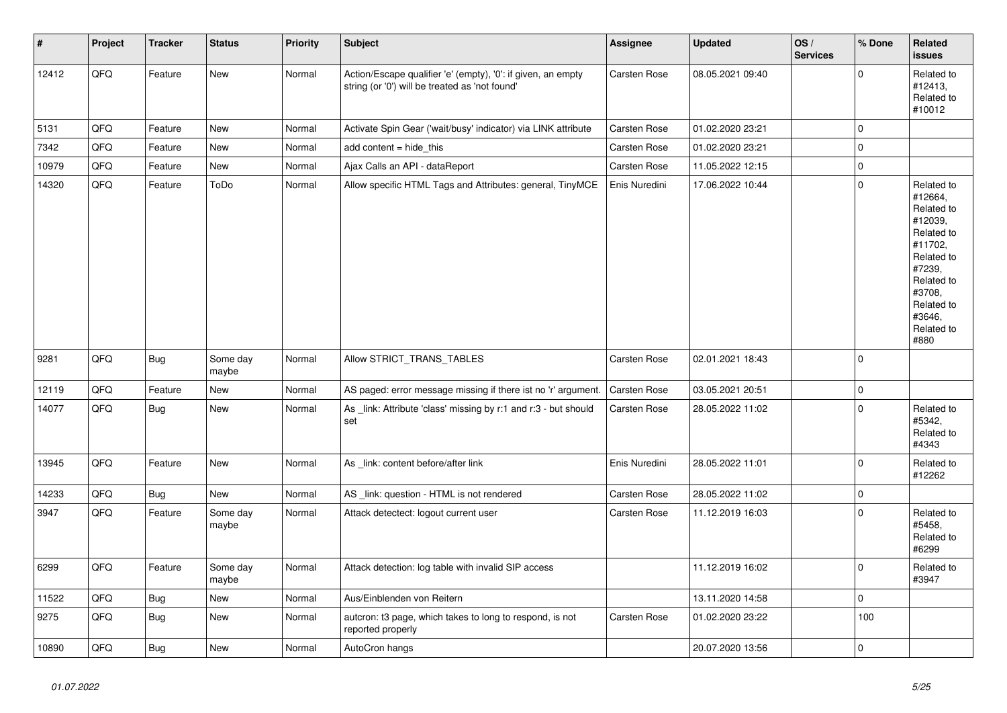| $\vert$ # | Project | <b>Tracker</b> | <b>Status</b>     | Priority | <b>Subject</b>                                                                                                 | Assignee            | <b>Updated</b>   | OS/<br><b>Services</b> | % Done      | Related<br><b>issues</b>                                                                                                                                              |
|-----------|---------|----------------|-------------------|----------|----------------------------------------------------------------------------------------------------------------|---------------------|------------------|------------------------|-------------|-----------------------------------------------------------------------------------------------------------------------------------------------------------------------|
| 12412     | QFQ     | Feature        | New               | Normal   | Action/Escape qualifier 'e' (empty), '0': if given, an empty<br>string (or '0') will be treated as 'not found' | Carsten Rose        | 08.05.2021 09:40 |                        | $\mathbf 0$ | Related to<br>#12413,<br>Related to<br>#10012                                                                                                                         |
| 5131      | QFQ     | Feature        | New               | Normal   | Activate Spin Gear ('wait/busy' indicator) via LINK attribute                                                  | Carsten Rose        | 01.02.2020 23:21 |                        | $\pmb{0}$   |                                                                                                                                                                       |
| 7342      | QFQ     | Feature        | <b>New</b>        | Normal   | add content $=$ hide this                                                                                      | Carsten Rose        | 01.02.2020 23:21 |                        | $\mathbf 0$ |                                                                                                                                                                       |
| 10979     | QFQ     | Feature        | New               | Normal   | Ajax Calls an API - dataReport                                                                                 | Carsten Rose        | 11.05.2022 12:15 |                        | $\pmb{0}$   |                                                                                                                                                                       |
| 14320     | QFQ     | Feature        | ToDo              | Normal   | Allow specific HTML Tags and Attributes: general, TinyMCE                                                      | Enis Nuredini       | 17.06.2022 10:44 |                        | $\mathbf 0$ | Related to<br>#12664,<br>Related to<br>#12039.<br>Related to<br>#11702,<br>Related to<br>#7239,<br>Related to<br>#3708.<br>Related to<br>#3646,<br>Related to<br>#880 |
| 9281      | QFQ     | <b>Bug</b>     | Some day<br>maybe | Normal   | Allow STRICT_TRANS_TABLES                                                                                      | Carsten Rose        | 02.01.2021 18:43 |                        | $\mathbf 0$ |                                                                                                                                                                       |
| 12119     | QFQ     | Feature        | <b>New</b>        | Normal   | AS paged: error message missing if there ist no 'r' argument.                                                  | Carsten Rose        | 03.05.2021 20:51 |                        | $\mathbf 0$ |                                                                                                                                                                       |
| 14077     | QFQ     | Bug            | <b>New</b>        | Normal   | As _link: Attribute 'class' missing by r:1 and r:3 - but should<br>set                                         | <b>Carsten Rose</b> | 28.05.2022 11:02 |                        | $\pmb{0}$   | Related to<br>#5342,<br>Related to<br>#4343                                                                                                                           |
| 13945     | QFQ     | Feature        | <b>New</b>        | Normal   | As link: content before/after link                                                                             | Enis Nuredini       | 28.05.2022 11:01 |                        | $\mathbf 0$ | Related to<br>#12262                                                                                                                                                  |
| 14233     | QFQ     | <b>Bug</b>     | New               | Normal   | AS _link: question - HTML is not rendered                                                                      | Carsten Rose        | 28.05.2022 11:02 |                        | $\mathbf 0$ |                                                                                                                                                                       |
| 3947      | QFQ     | Feature        | Some day<br>maybe | Normal   | Attack detectect: logout current user                                                                          | Carsten Rose        | 11.12.2019 16:03 |                        | $\Omega$    | Related to<br>#5458,<br>Related to<br>#6299                                                                                                                           |
| 6299      | QFQ     | Feature        | Some day<br>maybe | Normal   | Attack detection: log table with invalid SIP access                                                            |                     | 11.12.2019 16:02 |                        | $\mathbf 0$ | Related to<br>#3947                                                                                                                                                   |
| 11522     | QFQ     | Bug            | New               | Normal   | Aus/Einblenden von Reitern                                                                                     |                     | 13.11.2020 14:58 |                        | $\pmb{0}$   |                                                                                                                                                                       |
| 9275      | QFQ     | <b>Bug</b>     | New               | Normal   | autcron: t3 page, which takes to long to respond, is not<br>reported properly                                  | Carsten Rose        | 01.02.2020 23:22 |                        | 100         |                                                                                                                                                                       |
| 10890     | QFQ     | <b>Bug</b>     | New               | Normal   | AutoCron hangs                                                                                                 |                     | 20.07.2020 13:56 |                        | $\mathbf 0$ |                                                                                                                                                                       |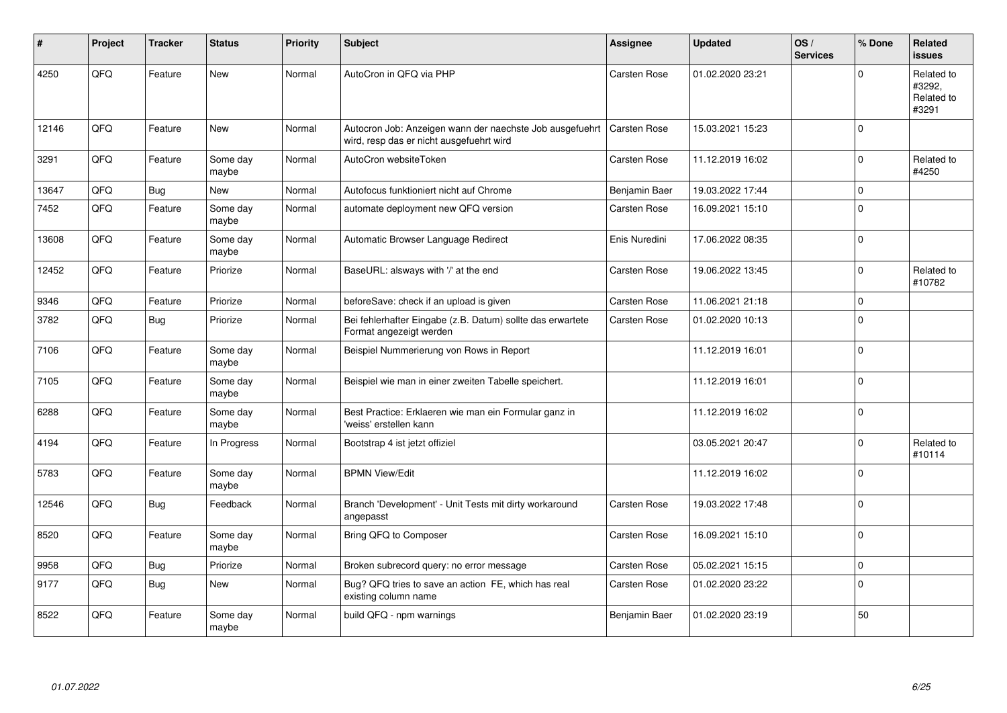| #     | Project | <b>Tracker</b> | <b>Status</b>     | <b>Priority</b> | <b>Subject</b>                                                                                       | <b>Assignee</b>     | <b>Updated</b>   | OS/<br><b>Services</b> | % Done       | Related<br><b>issues</b>                    |
|-------|---------|----------------|-------------------|-----------------|------------------------------------------------------------------------------------------------------|---------------------|------------------|------------------------|--------------|---------------------------------------------|
| 4250  | QFQ     | Feature        | <b>New</b>        | Normal          | AutoCron in QFQ via PHP                                                                              | Carsten Rose        | 01.02.2020 23:21 |                        | $\Omega$     | Related to<br>#3292,<br>Related to<br>#3291 |
| 12146 | QFQ     | Feature        | <b>New</b>        | Normal          | Autocron Job: Anzeigen wann der naechste Job ausgefuehrt<br>wird, resp das er nicht ausgefuehrt wird | <b>Carsten Rose</b> | 15.03.2021 15:23 |                        | $\mathbf 0$  |                                             |
| 3291  | QFQ     | Feature        | Some day<br>maybe | Normal          | AutoCron websiteToken                                                                                | Carsten Rose        | 11.12.2019 16:02 |                        | $\mathbf 0$  | Related to<br>#4250                         |
| 13647 | QFQ     | Bug            | <b>New</b>        | Normal          | Autofocus funktioniert nicht auf Chrome                                                              | Benjamin Baer       | 19.03.2022 17:44 |                        | $\mathsf 0$  |                                             |
| 7452  | QFQ     | Feature        | Some day<br>maybe | Normal          | automate deployment new QFQ version                                                                  | <b>Carsten Rose</b> | 16.09.2021 15:10 |                        | $\pmb{0}$    |                                             |
| 13608 | QFQ     | Feature        | Some day<br>maybe | Normal          | Automatic Browser Language Redirect                                                                  | Enis Nuredini       | 17.06.2022 08:35 |                        | $\mathbf 0$  |                                             |
| 12452 | QFQ     | Feature        | Priorize          | Normal          | BaseURL: alsways with '/' at the end                                                                 | Carsten Rose        | 19.06.2022 13:45 |                        | $\mathbf 0$  | Related to<br>#10782                        |
| 9346  | QFQ     | Feature        | Priorize          | Normal          | beforeSave: check if an upload is given                                                              | Carsten Rose        | 11.06.2021 21:18 |                        | $\mathbf{0}$ |                                             |
| 3782  | QFQ     | Bug            | Priorize          | Normal          | Bei fehlerhafter Eingabe (z.B. Datum) sollte das erwartete<br>Format angezeigt werden                | Carsten Rose        | 01.02.2020 10:13 |                        | $\mathbf 0$  |                                             |
| 7106  | QFQ     | Feature        | Some day<br>maybe | Normal          | Beispiel Nummerierung von Rows in Report                                                             |                     | 11.12.2019 16:01 |                        | $\mathbf 0$  |                                             |
| 7105  | QFQ     | Feature        | Some day<br>maybe | Normal          | Beispiel wie man in einer zweiten Tabelle speichert.                                                 |                     | 11.12.2019 16:01 |                        | $\Omega$     |                                             |
| 6288  | QFQ     | Feature        | Some day<br>maybe | Normal          | Best Practice: Erklaeren wie man ein Formular ganz in<br>'weiss' erstellen kann                      |                     | 11.12.2019 16:02 |                        | $\mathbf 0$  |                                             |
| 4194  | QFQ     | Feature        | In Progress       | Normal          | Bootstrap 4 ist jetzt offiziel                                                                       |                     | 03.05.2021 20:47 |                        | $\mathbf{0}$ | Related to<br>#10114                        |
| 5783  | QFQ     | Feature        | Some day<br>maybe | Normal          | <b>BPMN View/Edit</b>                                                                                |                     | 11.12.2019 16:02 |                        | $\mathbf 0$  |                                             |
| 12546 | QFQ     | <b>Bug</b>     | Feedback          | Normal          | Branch 'Development' - Unit Tests mit dirty workaround<br>angepasst                                  | Carsten Rose        | 19.03.2022 17:48 |                        | $\mathbf 0$  |                                             |
| 8520  | QFQ     | Feature        | Some day<br>maybe | Normal          | Bring QFQ to Composer                                                                                | Carsten Rose        | 16.09.2021 15:10 |                        | $\Omega$     |                                             |
| 9958  | QFQ     | <b>Bug</b>     | Priorize          | Normal          | Broken subrecord query: no error message                                                             | Carsten Rose        | 05.02.2021 15:15 |                        | $\pmb{0}$    |                                             |
| 9177  | QFQ     | Bug            | <b>New</b>        | Normal          | Bug? QFQ tries to save an action FE, which has real<br>existing column name                          | Carsten Rose        | 01.02.2020 23:22 |                        | $\mathbf 0$  |                                             |
| 8522  | QFQ     | Feature        | Some day<br>maybe | Normal          | build QFQ - npm warnings                                                                             | Benjamin Baer       | 01.02.2020 23:19 |                        | 50           |                                             |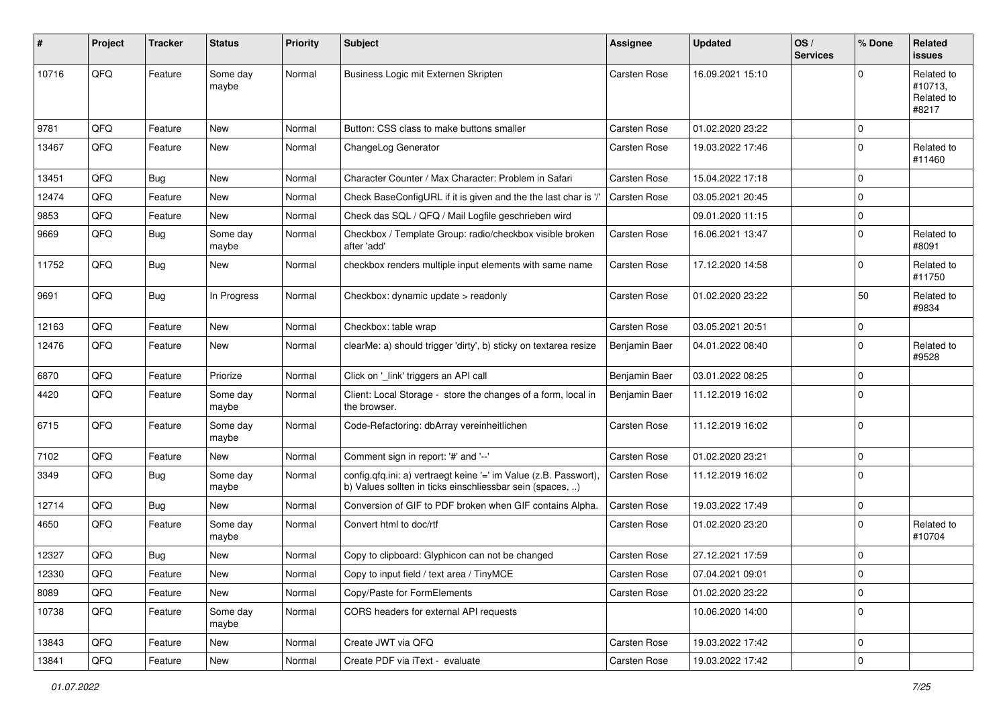| #     | Project | <b>Tracker</b> | <b>Status</b>     | Priority | <b>Subject</b>                                                                                                                | <b>Assignee</b> | <b>Updated</b>   | OS/<br><b>Services</b> | % Done              | Related<br><b>issues</b>                     |
|-------|---------|----------------|-------------------|----------|-------------------------------------------------------------------------------------------------------------------------------|-----------------|------------------|------------------------|---------------------|----------------------------------------------|
| 10716 | QFQ     | Feature        | Some day<br>maybe | Normal   | Business Logic mit Externen Skripten                                                                                          | Carsten Rose    | 16.09.2021 15:10 |                        | $\Omega$            | Related to<br>#10713,<br>Related to<br>#8217 |
| 9781  | QFQ     | Feature        | New               | Normal   | Button: CSS class to make buttons smaller                                                                                     | Carsten Rose    | 01.02.2020 23:22 |                        | $\mathbf 0$         |                                              |
| 13467 | QFQ     | Feature        | New               | Normal   | ChangeLog Generator                                                                                                           | Carsten Rose    | 19.03.2022 17:46 |                        | $\mathbf 0$         | Related to<br>#11460                         |
| 13451 | QFQ     | Bug            | New               | Normal   | Character Counter / Max Character: Problem in Safari                                                                          | Carsten Rose    | 15.04.2022 17:18 |                        | $\mathbf 0$         |                                              |
| 12474 | QFQ     | Feature        | New               | Normal   | Check BaseConfigURL if it is given and the the last char is '/'                                                               | Carsten Rose    | 03.05.2021 20:45 |                        | $\mathbf 0$         |                                              |
| 9853  | QFQ     | Feature        | New               | Normal   | Check das SQL / QFQ / Mail Logfile geschrieben wird                                                                           |                 | 09.01.2020 11:15 |                        | $\mathbf 0$         |                                              |
| 9669  | QFQ     | Bug            | Some day<br>maybe | Normal   | Checkbox / Template Group: radio/checkbox visible broken<br>after 'add'                                                       | Carsten Rose    | 16.06.2021 13:47 |                        | $\mathbf 0$         | Related to<br>#8091                          |
| 11752 | QFQ     | Bug            | New               | Normal   | checkbox renders multiple input elements with same name                                                                       | Carsten Rose    | 17.12.2020 14:58 |                        | $\Omega$            | Related to<br>#11750                         |
| 9691  | QFQ     | Bug            | In Progress       | Normal   | Checkbox: dynamic update > readonly                                                                                           | Carsten Rose    | 01.02.2020 23:22 |                        | 50                  | Related to<br>#9834                          |
| 12163 | QFQ     | Feature        | <b>New</b>        | Normal   | Checkbox: table wrap                                                                                                          | Carsten Rose    | 03.05.2021 20:51 |                        | $\mathbf 0$         |                                              |
| 12476 | QFQ     | Feature        | New               | Normal   | clearMe: a) should trigger 'dirty', b) sticky on textarea resize                                                              | Benjamin Baer   | 04.01.2022 08:40 |                        | $\mathbf 0$         | Related to<br>#9528                          |
| 6870  | QFQ     | Feature        | Priorize          | Normal   | Click on '_link' triggers an API call                                                                                         | Benjamin Baer   | 03.01.2022 08:25 |                        | $\mathbf 0$         |                                              |
| 4420  | QFQ     | Feature        | Some day<br>maybe | Normal   | Client: Local Storage - store the changes of a form, local in<br>the browser.                                                 | Benjamin Baer   | 11.12.2019 16:02 |                        | $\mathbf 0$         |                                              |
| 6715  | QFQ     | Feature        | Some day<br>maybe | Normal   | Code-Refactoring: dbArray vereinheitlichen                                                                                    | Carsten Rose    | 11.12.2019 16:02 |                        | $\mathbf 0$         |                                              |
| 7102  | QFQ     | Feature        | New               | Normal   | Comment sign in report: '#' and '--'                                                                                          | Carsten Rose    | 01.02.2020 23:21 |                        | $\mathbf 0$         |                                              |
| 3349  | QFQ     | <b>Bug</b>     | Some day<br>maybe | Normal   | config.qfq.ini: a) vertraegt keine '=' im Value (z.B. Passwort),<br>b) Values sollten in ticks einschliessbar sein (spaces, ) | Carsten Rose    | 11.12.2019 16:02 |                        | $\mathbf 0$         |                                              |
| 12714 | QFQ     | Bug            | New               | Normal   | Conversion of GIF to PDF broken when GIF contains Alpha.                                                                      | Carsten Rose    | 19.03.2022 17:49 |                        | $\mathbf 0$         |                                              |
| 4650  | QFQ     | Feature        | Some day<br>maybe | Normal   | Convert html to doc/rtf                                                                                                       | Carsten Rose    | 01.02.2020 23:20 |                        | $\mathbf 0$         | Related to<br>#10704                         |
| 12327 | QFQ     | Bug            | New               | Normal   | Copy to clipboard: Glyphicon can not be changed                                                                               | Carsten Rose    | 27.12.2021 17:59 |                        | $\mathbf 0$         |                                              |
| 12330 | QFQ     | Feature        | New               | Normal   | Copy to input field / text area / TinyMCE                                                                                     | Carsten Rose    | 07.04.2021 09:01 |                        | 0                   |                                              |
| 8089  | QFQ     | Feature        | New               | Normal   | Copy/Paste for FormElements                                                                                                   | Carsten Rose    | 01.02.2020 23:22 |                        | $\mathsf{O}\xspace$ |                                              |
| 10738 | QFQ     | Feature        | Some day<br>maybe | Normal   | CORS headers for external API requests                                                                                        |                 | 10.06.2020 14:00 |                        | $\mathbf 0$         |                                              |
| 13843 | QFQ     | Feature        | New               | Normal   | Create JWT via QFQ                                                                                                            | Carsten Rose    | 19.03.2022 17:42 |                        | $\mathsf 0$         |                                              |
| 13841 | QFQ     | Feature        | New               | Normal   | Create PDF via iText - evaluate                                                                                               | Carsten Rose    | 19.03.2022 17:42 |                        | $\mathsf{O}\xspace$ |                                              |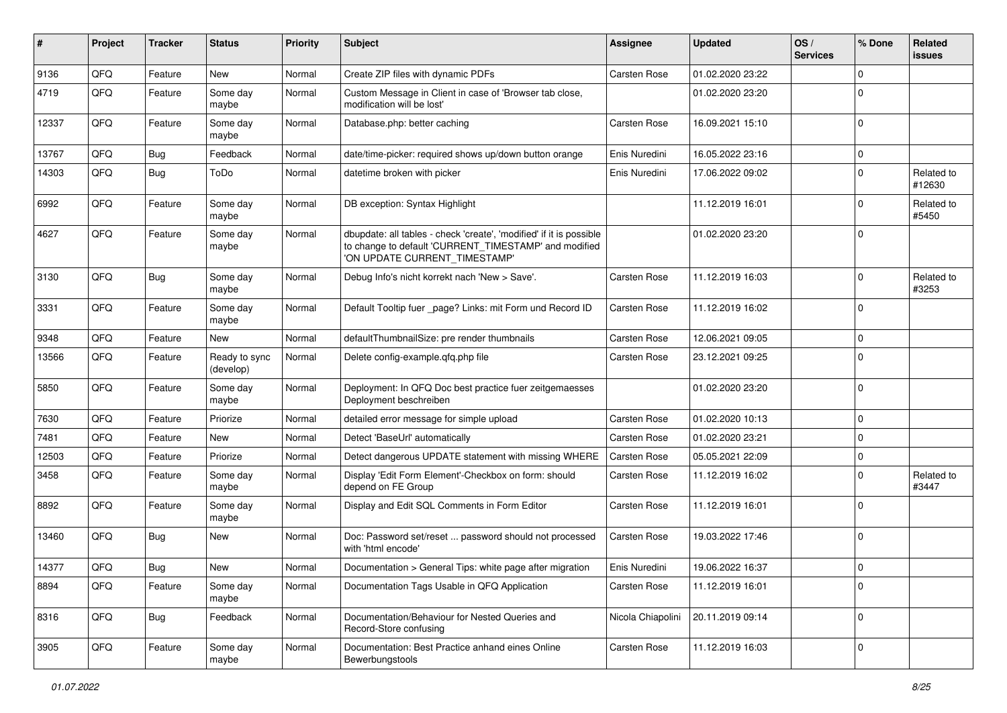| #     | Project | <b>Tracker</b> | <b>Status</b>              | <b>Priority</b> | Subject                                                                                                                                                       | <b>Assignee</b>     | <b>Updated</b>   | OS/<br><b>Services</b> | % Done      | Related<br><b>issues</b> |
|-------|---------|----------------|----------------------------|-----------------|---------------------------------------------------------------------------------------------------------------------------------------------------------------|---------------------|------------------|------------------------|-------------|--------------------------|
| 9136  | QFQ     | Feature        | New                        | Normal          | Create ZIP files with dynamic PDFs                                                                                                                            | Carsten Rose        | 01.02.2020 23:22 |                        | $\mathbf 0$ |                          |
| 4719  | QFQ     | Feature        | Some day<br>maybe          | Normal          | Custom Message in Client in case of 'Browser tab close,<br>modification will be lost'                                                                         |                     | 01.02.2020 23:20 |                        | $\mathbf 0$ |                          |
| 12337 | QFQ     | Feature        | Some day<br>maybe          | Normal          | Database.php: better caching                                                                                                                                  | Carsten Rose        | 16.09.2021 15:10 |                        | $\mathbf 0$ |                          |
| 13767 | QFQ     | Bug            | Feedback                   | Normal          | date/time-picker: required shows up/down button orange                                                                                                        | Enis Nuredini       | 16.05.2022 23:16 |                        | $\mathbf 0$ |                          |
| 14303 | QFQ     | Bug            | ToDo                       | Normal          | datetime broken with picker                                                                                                                                   | Enis Nuredini       | 17.06.2022 09:02 |                        | $\mathbf 0$ | Related to<br>#12630     |
| 6992  | QFQ     | Feature        | Some day<br>maybe          | Normal          | DB exception: Syntax Highlight                                                                                                                                |                     | 11.12.2019 16:01 |                        | $\mathbf 0$ | Related to<br>#5450      |
| 4627  | QFQ     | Feature        | Some day<br>maybe          | Normal          | dbupdate: all tables - check 'create', 'modified' if it is possible<br>to change to default 'CURRENT_TIMESTAMP' and modified<br>'ON UPDATE CURRENT_TIMESTAMP' |                     | 01.02.2020 23:20 |                        | $\mathbf 0$ |                          |
| 3130  | QFQ     | Bug            | Some day<br>maybe          | Normal          | Debug Info's nicht korrekt nach 'New > Save'.                                                                                                                 | Carsten Rose        | 11.12.2019 16:03 |                        | $\mathbf 0$ | Related to<br>#3253      |
| 3331  | QFQ     | Feature        | Some day<br>maybe          | Normal          | Default Tooltip fuer _page? Links: mit Form und Record ID                                                                                                     | Carsten Rose        | 11.12.2019 16:02 |                        | $\mathbf 0$ |                          |
| 9348  | QFQ     | Feature        | New                        | Normal          | defaultThumbnailSize: pre render thumbnails                                                                                                                   | <b>Carsten Rose</b> | 12.06.2021 09:05 |                        | $\mathbf 0$ |                          |
| 13566 | QFQ     | Feature        | Ready to sync<br>(develop) | Normal          | Delete config-example.gfg.php file                                                                                                                            | Carsten Rose        | 23.12.2021 09:25 |                        | $\mathbf 0$ |                          |
| 5850  | QFQ     | Feature        | Some day<br>maybe          | Normal          | Deployment: In QFQ Doc best practice fuer zeitgemaesses<br>Deployment beschreiben                                                                             |                     | 01.02.2020 23:20 |                        | $\mathbf 0$ |                          |
| 7630  | QFQ     | Feature        | Priorize                   | Normal          | detailed error message for simple upload                                                                                                                      | Carsten Rose        | 01.02.2020 10:13 |                        | $\mathbf 0$ |                          |
| 7481  | QFQ     | Feature        | New                        | Normal          | Detect 'BaseUrl' automatically                                                                                                                                | Carsten Rose        | 01.02.2020 23:21 |                        | $\mathbf 0$ |                          |
| 12503 | QFQ     | Feature        | Priorize                   | Normal          | Detect dangerous UPDATE statement with missing WHERE                                                                                                          | Carsten Rose        | 05.05.2021 22:09 |                        | $\mathbf 0$ |                          |
| 3458  | QFQ     | Feature        | Some day<br>maybe          | Normal          | Display 'Edit Form Element'-Checkbox on form: should<br>depend on FE Group                                                                                    | Carsten Rose        | 11.12.2019 16:02 |                        | $\mathbf 0$ | Related to<br>#3447      |
| 8892  | QFQ     | Feature        | Some day<br>maybe          | Normal          | Display and Edit SQL Comments in Form Editor                                                                                                                  | Carsten Rose        | 11.12.2019 16:01 |                        | $\mathbf 0$ |                          |
| 13460 | QFQ     | Bug            | New                        | Normal          | Doc: Password set/reset  password should not processed<br>with 'html encode'                                                                                  | Carsten Rose        | 19.03.2022 17:46 |                        | $\mathbf 0$ |                          |
| 14377 | QFQ     | Bug            | New                        | Normal          | Documentation > General Tips: white page after migration                                                                                                      | Enis Nuredini       | 19.06.2022 16:37 |                        | $\mathbf 0$ |                          |
| 8894  | QFQ     | Feature        | Some day<br>maybe          | Normal          | Documentation Tags Usable in QFQ Application                                                                                                                  | Carsten Rose        | 11.12.2019 16:01 |                        | $\mathbf 0$ |                          |
| 8316  | QFQ     | <b>Bug</b>     | Feedback                   | Normal          | Documentation/Behaviour for Nested Queries and<br>Record-Store confusing                                                                                      | Nicola Chiapolini   | 20.11.2019 09:14 |                        | $\mathbf 0$ |                          |
| 3905  | QFQ     | Feature        | Some day<br>maybe          | Normal          | Documentation: Best Practice anhand eines Online<br>Bewerbungstools                                                                                           | Carsten Rose        | 11.12.2019 16:03 |                        | $\mathbf 0$ |                          |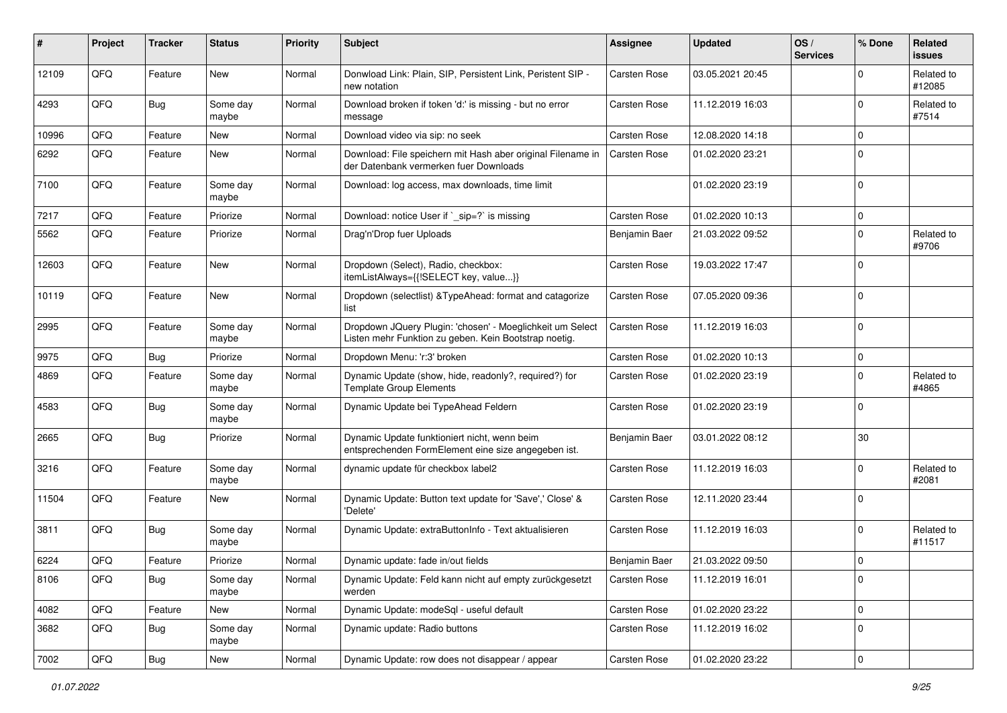| #     | Project | <b>Tracker</b> | <b>Status</b>     | <b>Priority</b> | <b>Subject</b>                                                                                                     | <b>Assignee</b>     | <b>Updated</b>   | OS/<br><b>Services</b> | % Done      | Related<br><b>issues</b> |
|-------|---------|----------------|-------------------|-----------------|--------------------------------------------------------------------------------------------------------------------|---------------------|------------------|------------------------|-------------|--------------------------|
| 12109 | QFQ     | Feature        | New               | Normal          | Donwload Link: Plain, SIP, Persistent Link, Peristent SIP -<br>new notation                                        | Carsten Rose        | 03.05.2021 20:45 |                        | $\mathbf 0$ | Related to<br>#12085     |
| 4293  | QFQ     | <b>Bug</b>     | Some day<br>maybe | Normal          | Download broken if token 'd:' is missing - but no error<br>message                                                 | Carsten Rose        | 11.12.2019 16:03 |                        | $\mathbf 0$ | Related to<br>#7514      |
| 10996 | QFQ     | Feature        | New               | Normal          | Download video via sip: no seek                                                                                    | Carsten Rose        | 12.08.2020 14:18 |                        | $\mathbf 0$ |                          |
| 6292  | QFQ     | Feature        | New               | Normal          | Download: File speichern mit Hash aber original Filename in<br>der Datenbank vermerken fuer Downloads              | <b>Carsten Rose</b> | 01.02.2020 23:21 |                        | $\mathbf 0$ |                          |
| 7100  | QFQ     | Feature        | Some day<br>maybe | Normal          | Download: log access, max downloads, time limit                                                                    |                     | 01.02.2020 23:19 |                        | $\mathbf 0$ |                          |
| 7217  | QFQ     | Feature        | Priorize          | Normal          | Download: notice User if `_sip=?` is missing                                                                       | Carsten Rose        | 01.02.2020 10:13 |                        | $\mathbf 0$ |                          |
| 5562  | QFQ     | Feature        | Priorize          | Normal          | Drag'n'Drop fuer Uploads                                                                                           | Benjamin Baer       | 21.03.2022 09:52 |                        | $\mathbf 0$ | Related to<br>#9706      |
| 12603 | QFQ     | Feature        | New               | Normal          | Dropdown (Select), Radio, checkbox:<br>itemListAlways={{!SELECT key, value}}                                       | Carsten Rose        | 19.03.2022 17:47 |                        | $\mathbf 0$ |                          |
| 10119 | QFQ     | Feature        | <b>New</b>        | Normal          | Dropdown (selectlist) & TypeAhead: format and catagorize<br>list                                                   | Carsten Rose        | 07.05.2020 09:36 |                        | $\mathbf 0$ |                          |
| 2995  | QFQ     | Feature        | Some day<br>maybe | Normal          | Dropdown JQuery Plugin: 'chosen' - Moeglichkeit um Select<br>Listen mehr Funktion zu geben. Kein Bootstrap noetig. | Carsten Rose        | 11.12.2019 16:03 |                        | $\mathbf 0$ |                          |
| 9975  | QFQ     | <b>Bug</b>     | Priorize          | Normal          | Dropdown Menu: 'r:3' broken                                                                                        | Carsten Rose        | 01.02.2020 10:13 |                        | $\mathbf 0$ |                          |
| 4869  | QFQ     | Feature        | Some day<br>maybe | Normal          | Dynamic Update (show, hide, readonly?, required?) for<br><b>Template Group Elements</b>                            | Carsten Rose        | 01.02.2020 23:19 |                        | $\mathbf 0$ | Related to<br>#4865      |
| 4583  | QFQ     | <b>Bug</b>     | Some day<br>maybe | Normal          | Dynamic Update bei TypeAhead Feldern                                                                               | Carsten Rose        | 01.02.2020 23:19 |                        | $\mathbf 0$ |                          |
| 2665  | QFQ     | Bug            | Priorize          | Normal          | Dynamic Update funktioniert nicht, wenn beim<br>entsprechenden FormElement eine size angegeben ist.                | Benjamin Baer       | 03.01.2022 08:12 |                        | 30          |                          |
| 3216  | QFQ     | Feature        | Some day<br>maybe | Normal          | dynamic update für checkbox label2                                                                                 | Carsten Rose        | 11.12.2019 16:03 |                        | $\mathbf 0$ | Related to<br>#2081      |
| 11504 | QFQ     | Feature        | New               | Normal          | Dynamic Update: Button text update for 'Save',' Close' &<br>'Delete'                                               | Carsten Rose        | 12.11.2020 23:44 |                        | $\mathbf 0$ |                          |
| 3811  | QFQ     | <b>Bug</b>     | Some day<br>maybe | Normal          | Dynamic Update: extraButtonInfo - Text aktualisieren                                                               | Carsten Rose        | 11.12.2019 16:03 |                        | $\mathbf 0$ | Related to<br>#11517     |
| 6224  | QFQ     | Feature        | Priorize          | Normal          | Dynamic update: fade in/out fields                                                                                 | Benjamin Baer       | 21.03.2022 09:50 |                        | $\mathbf 0$ |                          |
| 8106  | QFQ     | <b>Bug</b>     | Some day<br>maybe | Normal          | Dynamic Update: Feld kann nicht auf empty zurückgesetzt<br>werden                                                  | Carsten Rose        | 11.12.2019 16:01 |                        | $\mathbf 0$ |                          |
| 4082  | QFQ     | Feature        | New               | Normal          | Dynamic Update: modeSql - useful default                                                                           | Carsten Rose        | 01.02.2020 23:22 |                        | $\mathbf 0$ |                          |
| 3682  | QFQ     | Bug            | Some day<br>maybe | Normal          | Dynamic update: Radio buttons                                                                                      | Carsten Rose        | 11.12.2019 16:02 |                        | $\mathbf 0$ |                          |
| 7002  | QFQ     | Bug            | New               | Normal          | Dynamic Update: row does not disappear / appear                                                                    | Carsten Rose        | 01.02.2020 23:22 |                        | $\mathbf 0$ |                          |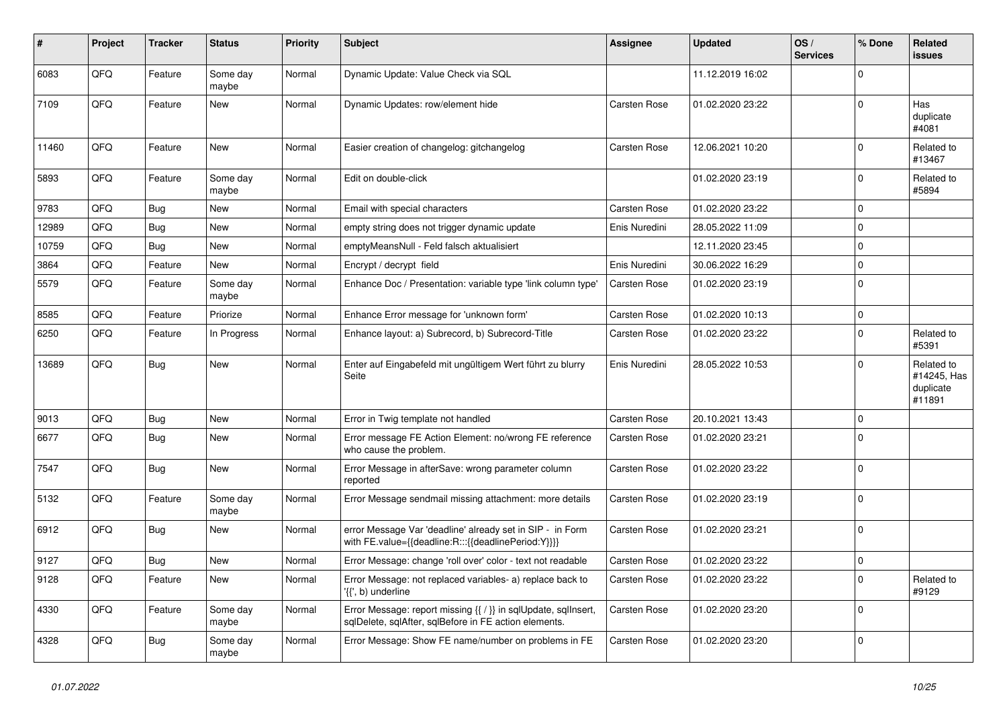| ∦     | Project    | <b>Tracker</b> | <b>Status</b>     | <b>Priority</b> | <b>Subject</b>                                                                                                          | Assignee            | <b>Updated</b>   | OS/<br><b>Services</b> | % Done      | Related<br><b>issues</b>                         |
|-------|------------|----------------|-------------------|-----------------|-------------------------------------------------------------------------------------------------------------------------|---------------------|------------------|------------------------|-------------|--------------------------------------------------|
| 6083  | QFQ        | Feature        | Some day<br>maybe | Normal          | Dynamic Update: Value Check via SQL                                                                                     |                     | 11.12.2019 16:02 |                        | $\Omega$    |                                                  |
| 7109  | QFQ        | Feature        | <b>New</b>        | Normal          | Dynamic Updates: row/element hide                                                                                       | <b>Carsten Rose</b> | 01.02.2020 23:22 |                        | $\Omega$    | Has<br>duplicate<br>#4081                        |
| 11460 | QFQ        | Feature        | <b>New</b>        | Normal          | Easier creation of changelog: gitchangelog                                                                              | <b>Carsten Rose</b> | 12.06.2021 10:20 |                        | $\Omega$    | Related to<br>#13467                             |
| 5893  | QFQ        | Feature        | Some day<br>maybe | Normal          | Edit on double-click                                                                                                    |                     | 01.02.2020 23:19 |                        | $\Omega$    | Related to<br>#5894                              |
| 9783  | QFQ        | <b>Bug</b>     | New               | Normal          | Email with special characters                                                                                           | Carsten Rose        | 01.02.2020 23:22 |                        | $\Omega$    |                                                  |
| 12989 | QFQ        | <b>Bug</b>     | <b>New</b>        | Normal          | empty string does not trigger dynamic update                                                                            | Enis Nuredini       | 28.05.2022 11:09 |                        | $\Omega$    |                                                  |
| 10759 | QFQ        | Bug            | <b>New</b>        | Normal          | emptyMeansNull - Feld falsch aktualisiert                                                                               |                     | 12.11.2020 23:45 |                        | $\Omega$    |                                                  |
| 3864  | QFQ        | Feature        | <b>New</b>        | Normal          | Encrypt / decrypt field                                                                                                 | Enis Nuredini       | 30.06.2022 16:29 |                        | $\Omega$    |                                                  |
| 5579  | QFQ        | Feature        | Some day<br>maybe | Normal          | Enhance Doc / Presentation: variable type 'link column type'                                                            | Carsten Rose        | 01.02.2020 23:19 |                        | $\Omega$    |                                                  |
| 8585  | QFQ        | Feature        | Priorize          | Normal          | Enhance Error message for 'unknown form'                                                                                | Carsten Rose        | 01.02.2020 10:13 |                        | $\Omega$    |                                                  |
| 6250  | QFQ        | Feature        | In Progress       | Normal          | Enhance layout: a) Subrecord, b) Subrecord-Title                                                                        | Carsten Rose        | 01.02.2020 23:22 |                        | $\Omega$    | Related to<br>#5391                              |
| 13689 | QFQ        | Bug            | <b>New</b>        | Normal          | Enter auf Eingabefeld mit ungültigem Wert führt zu blurry<br>Seite                                                      | Enis Nuredini       | 28.05.2022 10:53 |                        | $\Omega$    | Related to<br>#14245, Has<br>duplicate<br>#11891 |
| 9013  | QFQ        | Bug            | <b>New</b>        | Normal          | Error in Twig template not handled                                                                                      | Carsten Rose        | 20.10.2021 13:43 |                        | $\Omega$    |                                                  |
| 6677  | QFQ        | Bug            | <b>New</b>        | Normal          | Error message FE Action Element: no/wrong FE reference<br>who cause the problem.                                        | Carsten Rose        | 01.02.2020 23:21 |                        | $\Omega$    |                                                  |
| 7547  | QFQ        | Bug            | <b>New</b>        | Normal          | Error Message in afterSave: wrong parameter column<br>reported                                                          | Carsten Rose        | 01.02.2020 23:22 |                        | $\Omega$    |                                                  |
| 5132  | <b>OFO</b> | Feature        | Some day<br>maybe | Normal          | Error Message sendmail missing attachment: more details                                                                 | Carsten Rose        | 01.02.2020 23:19 |                        | $\Omega$    |                                                  |
| 6912  | QFQ        | <b>Bug</b>     | <b>New</b>        | Normal          | error Message Var 'deadline' already set in SIP - in Form<br>with FE.value={{deadline:R:::{{deadlinePeriod:Y}}}}        | Carsten Rose        | 01.02.2020 23:21 |                        | $\Omega$    |                                                  |
| 9127  | QFQ        | <b>Bug</b>     | <b>New</b>        | Normal          | Error Message: change 'roll over' color - text not readable                                                             | Carsten Rose        | 01.02.2020 23:22 |                        | $\mathbf 0$ |                                                  |
| 9128  | QFQ        | Feature        | <b>New</b>        | Normal          | Error Message: not replaced variables- a) replace back to<br>'{{', b) underline                                         | Carsten Rose        | 01.02.2020 23:22 |                        | $\Omega$    | Related to<br>#9129                              |
| 4330  | QFQ        | Feature        | Some day<br>maybe | Normal          | Error Message: report missing {{ / }} in sqlUpdate, sqlInsert,<br>sqlDelete, sqlAfter, sqlBefore in FE action elements. | Carsten Rose        | 01.02.2020 23:20 |                        | $\Omega$    |                                                  |
| 4328  | QFQ        | Bug            | Some day<br>maybe | Normal          | Error Message: Show FE name/number on problems in FE                                                                    | Carsten Rose        | 01.02.2020 23:20 |                        | $\Omega$    |                                                  |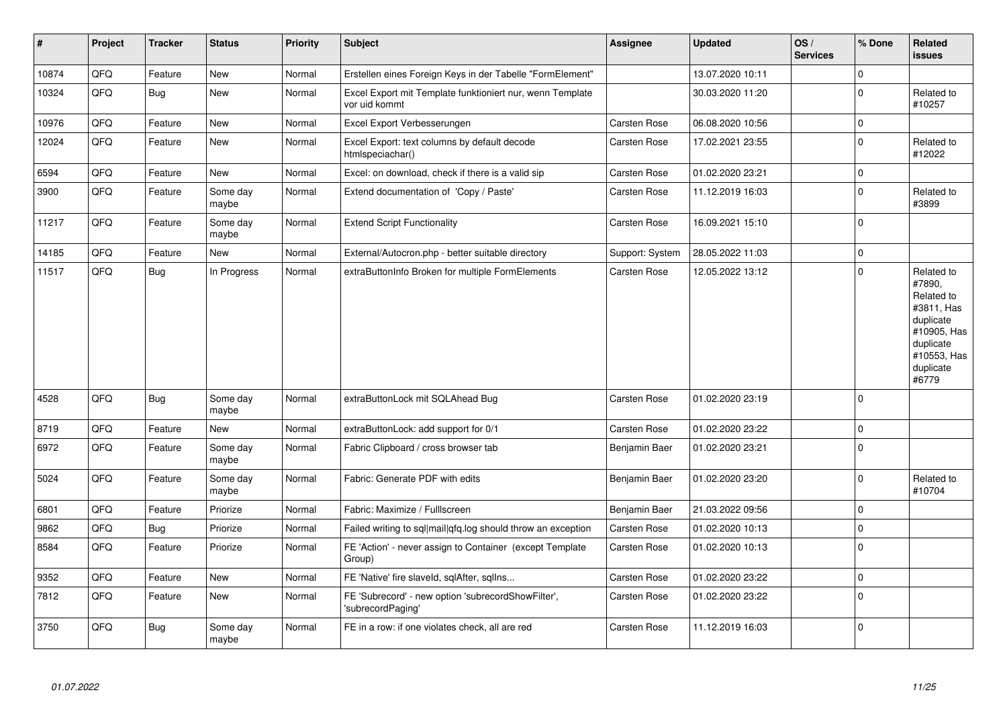| $\vert$ # | Project | <b>Tracker</b> | <b>Status</b>     | <b>Priority</b> | <b>Subject</b>                                                             | <b>Assignee</b> | <b>Updated</b>   | OS/<br><b>Services</b> | % Done      | <b>Related</b><br><b>issues</b>                                                                                                |
|-----------|---------|----------------|-------------------|-----------------|----------------------------------------------------------------------------|-----------------|------------------|------------------------|-------------|--------------------------------------------------------------------------------------------------------------------------------|
| 10874     | QFQ     | Feature        | <b>New</b>        | Normal          | Erstellen eines Foreign Keys in der Tabelle "FormElement"                  |                 | 13.07.2020 10:11 |                        | $\mathbf 0$ |                                                                                                                                |
| 10324     | QFQ     | Bug            | New               | Normal          | Excel Export mit Template funktioniert nur, wenn Template<br>vor uid kommt |                 | 30.03.2020 11:20 |                        | $\pmb{0}$   | Related to<br>#10257                                                                                                           |
| 10976     | QFQ     | Feature        | New               | Normal          | Excel Export Verbesserungen                                                | Carsten Rose    | 06.08.2020 10:56 |                        | $\mathbf 0$ |                                                                                                                                |
| 12024     | QFQ     | Feature        | New               | Normal          | Excel Export: text columns by default decode<br>htmlspeciachar()           | Carsten Rose    | 17.02.2021 23:55 |                        | $\mathbf 0$ | Related to<br>#12022                                                                                                           |
| 6594      | QFQ     | Feature        | New               | Normal          | Excel: on download, check if there is a valid sip                          | Carsten Rose    | 01.02.2020 23:21 |                        | $\mathbf 0$ |                                                                                                                                |
| 3900      | QFQ     | Feature        | Some day<br>maybe | Normal          | Extend documentation of 'Copy / Paste'                                     | Carsten Rose    | 11.12.2019 16:03 |                        | $\mathbf 0$ | Related to<br>#3899                                                                                                            |
| 11217     | QFQ     | Feature        | Some day<br>maybe | Normal          | <b>Extend Script Functionality</b>                                         | Carsten Rose    | 16.09.2021 15:10 |                        | $\mathbf 0$ |                                                                                                                                |
| 14185     | QFQ     | Feature        | New               | Normal          | External/Autocron.php - better suitable directory                          | Support: System | 28.05.2022 11:03 |                        | $\mathbf 0$ |                                                                                                                                |
| 11517     | QFQ     | Bug            | In Progress       | Normal          | extraButtonInfo Broken for multiple FormElements                           | Carsten Rose    | 12.05.2022 13:12 |                        | $\mathbf 0$ | Related to<br>#7890,<br>Related to<br>#3811, Has<br>duplicate<br>#10905, Has<br>duplicate<br>#10553, Has<br>duplicate<br>#6779 |
| 4528      | QFQ     | Bug            | Some day<br>maybe | Normal          | extraButtonLock mit SQLAhead Bug                                           | Carsten Rose    | 01.02.2020 23:19 |                        | $\mathbf 0$ |                                                                                                                                |
| 8719      | QFQ     | Feature        | <b>New</b>        | Normal          | extraButtonLock: add support for 0/1                                       | Carsten Rose    | 01.02.2020 23:22 |                        | $\mathbf 0$ |                                                                                                                                |
| 6972      | QFQ     | Feature        | Some day<br>maybe | Normal          | Fabric Clipboard / cross browser tab                                       | Benjamin Baer   | 01.02.2020 23:21 |                        | $\mathbf 0$ |                                                                                                                                |
| 5024      | QFQ     | Feature        | Some day<br>maybe | Normal          | Fabric: Generate PDF with edits                                            | Benjamin Baer   | 01.02.2020 23:20 |                        | $\mathbf 0$ | Related to<br>#10704                                                                                                           |
| 6801      | QFQ     | Feature        | Priorize          | Normal          | Fabric: Maximize / FullIscreen                                             | Benjamin Baer   | 21.03.2022 09:56 |                        | $\mathbf 0$ |                                                                                                                                |
| 9862      | QFQ     | <b>Bug</b>     | Priorize          | Normal          | Failed writing to sql mail qfq.log should throw an exception               | Carsten Rose    | 01.02.2020 10:13 |                        | $\mathbf 0$ |                                                                                                                                |
| 8584      | QFQ     | Feature        | Priorize          | Normal          | FE 'Action' - never assign to Container (except Template<br>Group)         | Carsten Rose    | 01.02.2020 10:13 |                        | $\pmb{0}$   |                                                                                                                                |
| 9352      | QFQ     | Feature        | <b>New</b>        | Normal          | FE 'Native' fire slaveld, sqlAfter, sqlIns                                 | Carsten Rose    | 01.02.2020 23:22 |                        | $\mathbf 0$ |                                                                                                                                |
| 7812      | QFQ     | Feature        | New               | Normal          | FE 'Subrecord' - new option 'subrecordShowFilter',<br>'subrecordPaging'    | Carsten Rose    | 01.02.2020 23:22 |                        | $\pmb{0}$   |                                                                                                                                |
| 3750      | QFQ     | Bug            | Some day<br>maybe | Normal          | FE in a row: if one violates check, all are red                            | Carsten Rose    | 11.12.2019 16:03 |                        | $\mathbf 0$ |                                                                                                                                |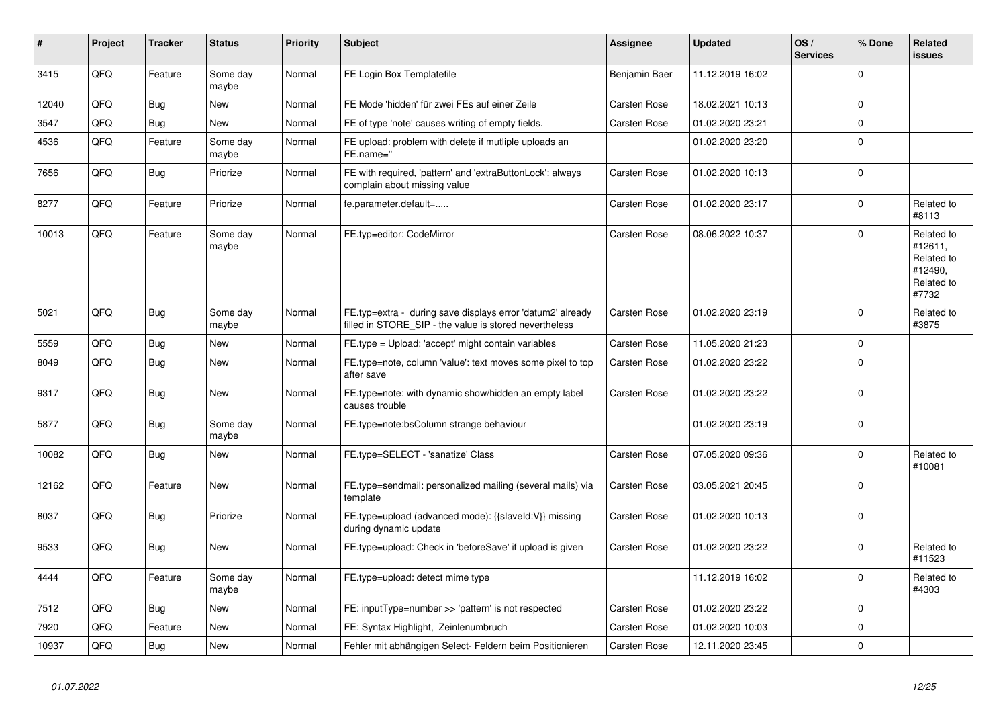| #     | Project | <b>Tracker</b> | <b>Status</b>     | Priority | <b>Subject</b>                                                                                                       | <b>Assignee</b>     | <b>Updated</b>   | OS/<br><b>Services</b> | % Done      | Related<br><b>issues</b>                                              |
|-------|---------|----------------|-------------------|----------|----------------------------------------------------------------------------------------------------------------------|---------------------|------------------|------------------------|-------------|-----------------------------------------------------------------------|
| 3415  | QFQ     | Feature        | Some day<br>maybe | Normal   | FE Login Box Templatefile                                                                                            | Benjamin Baer       | 11.12.2019 16:02 |                        | $\Omega$    |                                                                       |
| 12040 | QFQ     | Bug            | <b>New</b>        | Normal   | FE Mode 'hidden' für zwei FEs auf einer Zeile                                                                        | Carsten Rose        | 18.02.2021 10:13 |                        | $\Omega$    |                                                                       |
| 3547  | QFQ     | Bug            | <b>New</b>        | Normal   | FE of type 'note' causes writing of empty fields.                                                                    | Carsten Rose        | 01.02.2020 23:21 |                        | $\mathbf 0$ |                                                                       |
| 4536  | QFQ     | Feature        | Some day<br>maybe | Normal   | FE upload: problem with delete if mutliple uploads an<br>FE.name="                                                   |                     | 01.02.2020 23:20 |                        | $\Omega$    |                                                                       |
| 7656  | QFQ     | <b>Bug</b>     | Priorize          | Normal   | FE with required, 'pattern' and 'extraButtonLock': always<br>complain about missing value                            | Carsten Rose        | 01.02.2020 10:13 |                        | $\mathbf 0$ |                                                                       |
| 8277  | QFQ     | Feature        | Priorize          | Normal   | fe.parameter.default=                                                                                                | Carsten Rose        | 01.02.2020 23:17 |                        | $\mathbf 0$ | Related to<br>#8113                                                   |
| 10013 | QFQ     | Feature        | Some day<br>maybe | Normal   | FE.typ=editor: CodeMirror                                                                                            | Carsten Rose        | 08.06.2022 10:37 |                        | $\Omega$    | Related to<br>#12611,<br>Related to<br>#12490,<br>Related to<br>#7732 |
| 5021  | QFQ     | Bug            | Some day<br>maybe | Normal   | FE.typ=extra - during save displays error 'datum2' already<br>filled in STORE_SIP - the value is stored nevertheless | Carsten Rose        | 01.02.2020 23:19 |                        | $\mathbf 0$ | Related to<br>#3875                                                   |
| 5559  | QFQ     | <b>Bug</b>     | <b>New</b>        | Normal   | FE.type = Upload: 'accept' might contain variables                                                                   | Carsten Rose        | 11.05.2020 21:23 |                        | $\mathbf 0$ |                                                                       |
| 8049  | QFQ     | Bug            | <b>New</b>        | Normal   | FE.type=note, column 'value': text moves some pixel to top<br>after save                                             | <b>Carsten Rose</b> | 01.02.2020 23:22 |                        | $\mathbf 0$ |                                                                       |
| 9317  | QFQ     | Bug            | <b>New</b>        | Normal   | FE.type=note: with dynamic show/hidden an empty label<br>causes trouble                                              | Carsten Rose        | 01.02.2020 23:22 |                        | $\mathbf 0$ |                                                                       |
| 5877  | QFQ     | <b>Bug</b>     | Some day<br>maybe | Normal   | FE.type=note:bsColumn strange behaviour                                                                              |                     | 01.02.2020 23:19 |                        | $\Omega$    |                                                                       |
| 10082 | QFQ     | Bug            | <b>New</b>        | Normal   | FE.type=SELECT - 'sanatize' Class                                                                                    | Carsten Rose        | 07.05.2020 09:36 |                        | $\Omega$    | Related to<br>#10081                                                  |
| 12162 | QFQ     | Feature        | New               | Normal   | FE.type=sendmail: personalized mailing (several mails) via<br>template                                               | Carsten Rose        | 03.05.2021 20:45 |                        | $\mathbf 0$ |                                                                       |
| 8037  | QFQ     | Bug            | Priorize          | Normal   | FE.type=upload (advanced mode): {{slaveld:V}} missing<br>during dynamic update                                       | Carsten Rose        | 01.02.2020 10:13 |                        | $\Omega$    |                                                                       |
| 9533  | QFQ     | Bug            | <b>New</b>        | Normal   | FE.type=upload: Check in 'beforeSave' if upload is given                                                             | Carsten Rose        | 01.02.2020 23:22 |                        | $\Omega$    | Related to<br>#11523                                                  |
| 4444  | QFQ     | Feature        | Some day<br>maybe | Normal   | FE.type=upload: detect mime type                                                                                     |                     | 11.12.2019 16:02 |                        | $\Omega$    | Related to<br>#4303                                                   |
| 7512  | QFQ     | <b>Bug</b>     | <b>New</b>        | Normal   | FE: inputType=number >> 'pattern' is not respected                                                                   | Carsten Rose        | 01.02.2020 23:22 |                        | $\mathbf 0$ |                                                                       |
| 7920  | QFQ     | Feature        | <b>New</b>        | Normal   | FE: Syntax Highlight, Zeinlenumbruch                                                                                 | Carsten Rose        | 01.02.2020 10:03 |                        | $\Omega$    |                                                                       |
| 10937 | QFQ     | Bug            | <b>New</b>        | Normal   | Fehler mit abhängigen Select- Feldern beim Positionieren                                                             | Carsten Rose        | 12.11.2020 23:45 |                        | $\mathbf 0$ |                                                                       |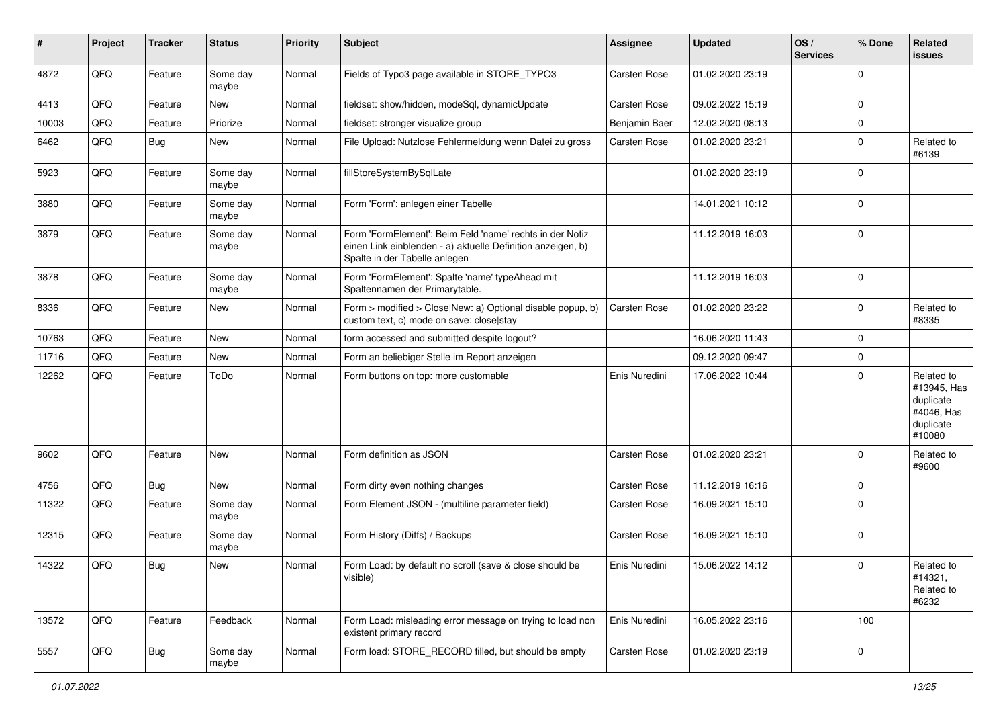| ∦     | Project | <b>Tracker</b> | <b>Status</b>     | <b>Priority</b> | <b>Subject</b>                                                                                                                                           | <b>Assignee</b>     | <b>Updated</b>   | OS/<br><b>Services</b> | % Done      | Related<br><b>issues</b>                                                    |
|-------|---------|----------------|-------------------|-----------------|----------------------------------------------------------------------------------------------------------------------------------------------------------|---------------------|------------------|------------------------|-------------|-----------------------------------------------------------------------------|
| 4872  | QFQ     | Feature        | Some day<br>maybe | Normal          | Fields of Typo3 page available in STORE_TYPO3                                                                                                            | Carsten Rose        | 01.02.2020 23:19 |                        | $\mathbf 0$ |                                                                             |
| 4413  | QFQ     | Feature        | New               | Normal          | fieldset: show/hidden, modeSql, dynamicUpdate                                                                                                            | Carsten Rose        | 09.02.2022 15:19 |                        | $\mathbf 0$ |                                                                             |
| 10003 | QFQ     | Feature        | Priorize          | Normal          | fieldset: stronger visualize group                                                                                                                       | Benjamin Baer       | 12.02.2020 08:13 |                        | $\mathbf 0$ |                                                                             |
| 6462  | QFQ     | <b>Bug</b>     | <b>New</b>        | Normal          | File Upload: Nutzlose Fehlermeldung wenn Datei zu gross                                                                                                  | Carsten Rose        | 01.02.2020 23:21 |                        | $\mathbf 0$ | Related to<br>#6139                                                         |
| 5923  | QFQ     | Feature        | Some day<br>maybe | Normal          | fillStoreSystemBySqlLate                                                                                                                                 |                     | 01.02.2020 23:19 |                        | $\mathbf 0$ |                                                                             |
| 3880  | QFQ     | Feature        | Some day<br>maybe | Normal          | Form 'Form': anlegen einer Tabelle                                                                                                                       |                     | 14.01.2021 10:12 |                        | $\mathbf 0$ |                                                                             |
| 3879  | QFQ     | Feature        | Some day<br>maybe | Normal          | Form 'FormElement': Beim Feld 'name' rechts in der Notiz<br>einen Link einblenden - a) aktuelle Definition anzeigen, b)<br>Spalte in der Tabelle anlegen |                     | 11.12.2019 16:03 |                        | $\mathbf 0$ |                                                                             |
| 3878  | QFQ     | Feature        | Some day<br>maybe | Normal          | Form 'FormElement': Spalte 'name' typeAhead mit<br>Spaltennamen der Primarytable.                                                                        |                     | 11.12.2019 16:03 |                        | $\mathbf 0$ |                                                                             |
| 8336  | QFQ     | Feature        | <b>New</b>        | Normal          | Form > modified > Close New: a) Optional disable popup, b)<br>custom text, c) mode on save: close stay                                                   | <b>Carsten Rose</b> | 01.02.2020 23:22 |                        | $\mathbf 0$ | Related to<br>#8335                                                         |
| 10763 | QFQ     | Feature        | New               | Normal          | form accessed and submitted despite logout?                                                                                                              |                     | 16.06.2020 11:43 |                        | $\mathbf 0$ |                                                                             |
| 11716 | QFQ     | Feature        | New               | Normal          | Form an beliebiger Stelle im Report anzeigen                                                                                                             |                     | 09.12.2020 09:47 |                        | $\mathbf 0$ |                                                                             |
| 12262 | QFQ     | Feature        | ToDo              | Normal          | Form buttons on top: more customable                                                                                                                     | Enis Nuredini       | 17.06.2022 10:44 |                        | $\Omega$    | Related to<br>#13945, Has<br>duplicate<br>#4046, Has<br>duplicate<br>#10080 |
| 9602  | QFQ     | Feature        | <b>New</b>        | Normal          | Form definition as JSON                                                                                                                                  | Carsten Rose        | 01.02.2020 23:21 |                        | $\Omega$    | Related to<br>#9600                                                         |
| 4756  | QFQ     | <b>Bug</b>     | New               | Normal          | Form dirty even nothing changes                                                                                                                          | Carsten Rose        | 11.12.2019 16:16 |                        | $\mathbf 0$ |                                                                             |
| 11322 | QFQ     | Feature        | Some day<br>maybe | Normal          | Form Element JSON - (multiline parameter field)                                                                                                          | Carsten Rose        | 16.09.2021 15:10 |                        | $\mathbf 0$ |                                                                             |
| 12315 | QFQ     | Feature        | Some day<br>maybe | Normal          | Form History (Diffs) / Backups                                                                                                                           | Carsten Rose        | 16.09.2021 15:10 |                        | $\mathbf 0$ |                                                                             |
| 14322 | QFQ     | Bug            | <b>New</b>        | Normal          | Form Load: by default no scroll (save & close should be<br>visible)                                                                                      | Enis Nuredini       | 15.06.2022 14:12 |                        | $\mathbf 0$ | Related to<br>#14321,<br>Related to<br>#6232                                |
| 13572 | QFQ     | Feature        | Feedback          | Normal          | Form Load: misleading error message on trying to load non<br>existent primary record                                                                     | Enis Nuredini       | 16.05.2022 23:16 |                        | 100         |                                                                             |
| 5557  | QFO     | <b>Bug</b>     | Some day<br>maybe | Normal          | Form load: STORE_RECORD filled, but should be empty                                                                                                      | Carsten Rose        | 01.02.2020 23:19 |                        | $\mathsf 0$ |                                                                             |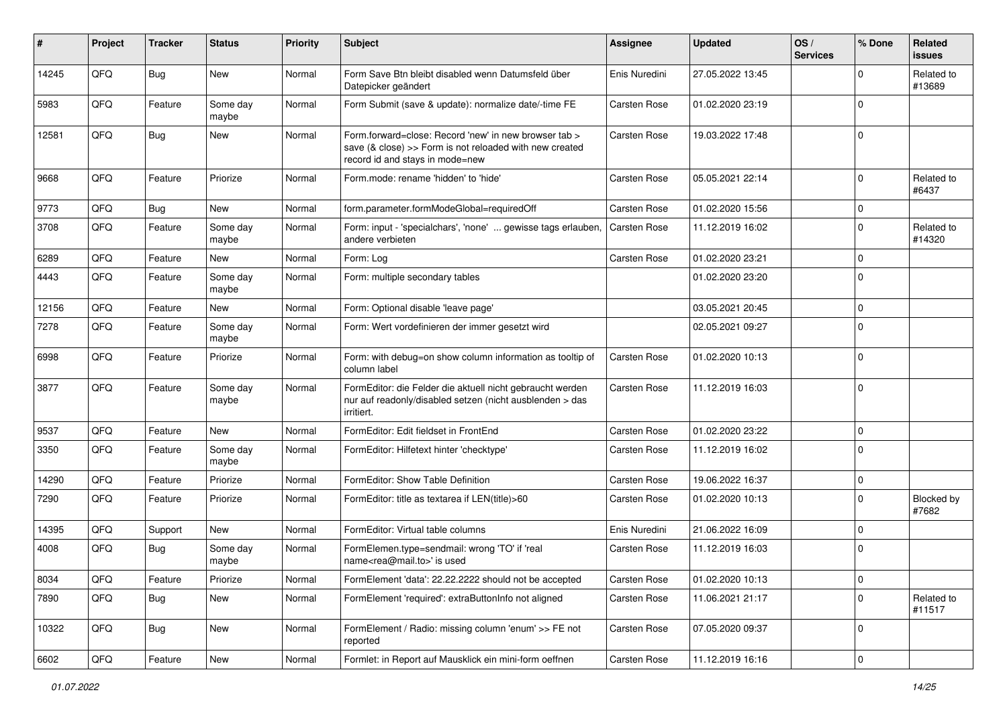| #     | Project | <b>Tracker</b> | <b>Status</b>     | <b>Priority</b> | <b>Subject</b>                                                                                                                                      | <b>Assignee</b>     | <b>Updated</b>   | OS/<br><b>Services</b> | % Done      | Related<br><b>issues</b> |
|-------|---------|----------------|-------------------|-----------------|-----------------------------------------------------------------------------------------------------------------------------------------------------|---------------------|------------------|------------------------|-------------|--------------------------|
| 14245 | QFQ     | Bug            | New               | Normal          | Form Save Btn bleibt disabled wenn Datumsfeld über<br>Datepicker geändert                                                                           | Enis Nuredini       | 27.05.2022 13:45 |                        | $\mathbf 0$ | Related to<br>#13689     |
| 5983  | QFQ     | Feature        | Some day<br>maybe | Normal          | Form Submit (save & update): normalize date/-time FE                                                                                                | Carsten Rose        | 01.02.2020 23:19 |                        | $\mathbf 0$ |                          |
| 12581 | QFQ     | Bug            | <b>New</b>        | Normal          | Form.forward=close: Record 'new' in new browser tab ><br>save (& close) >> Form is not reloaded with new created<br>record id and stays in mode=new | Carsten Rose        | 19.03.2022 17:48 |                        | $\mathbf 0$ |                          |
| 9668  | QFQ     | Feature        | Priorize          | Normal          | Form.mode: rename 'hidden' to 'hide'                                                                                                                | <b>Carsten Rose</b> | 05.05.2021 22:14 |                        | $\mathbf 0$ | Related to<br>#6437      |
| 9773  | QFQ     | Bug            | New               | Normal          | form.parameter.formModeGlobal=requiredOff                                                                                                           | Carsten Rose        | 01.02.2020 15:56 |                        | $\mathbf 0$ |                          |
| 3708  | QFQ     | Feature        | Some day<br>maybe | Normal          | Form: input - 'specialchars', 'none'  gewisse tags erlauben,<br>andere verbieten                                                                    | <b>Carsten Rose</b> | 11.12.2019 16:02 |                        | $\mathbf 0$ | Related to<br>#14320     |
| 6289  | QFQ     | Feature        | <b>New</b>        | Normal          | Form: Log                                                                                                                                           | Carsten Rose        | 01.02.2020 23:21 |                        | $\mathbf 0$ |                          |
| 4443  | QFQ     | Feature        | Some day<br>maybe | Normal          | Form: multiple secondary tables                                                                                                                     |                     | 01.02.2020 23:20 |                        | $\mathbf 0$ |                          |
| 12156 | QFQ     | Feature        | New               | Normal          | Form: Optional disable 'leave page'                                                                                                                 |                     | 03.05.2021 20:45 |                        | $\mathbf 0$ |                          |
| 7278  | QFQ     | Feature        | Some day<br>maybe | Normal          | Form: Wert vordefinieren der immer gesetzt wird                                                                                                     |                     | 02.05.2021 09:27 |                        | $\Omega$    |                          |
| 6998  | QFQ     | Feature        | Priorize          | Normal          | Form: with debug=on show column information as tooltip of<br>column label                                                                           | Carsten Rose        | 01.02.2020 10:13 |                        | $\mathbf 0$ |                          |
| 3877  | QFQ     | Feature        | Some day<br>maybe | Normal          | FormEditor: die Felder die aktuell nicht gebraucht werden<br>nur auf readonly/disabled setzen (nicht ausblenden > das<br>irritiert.                 | Carsten Rose        | 11.12.2019 16:03 |                        | $\mathbf 0$ |                          |
| 9537  | QFQ     | Feature        | <b>New</b>        | Normal          | FormEditor: Edit fieldset in FrontEnd                                                                                                               | Carsten Rose        | 01.02.2020 23:22 |                        | $\mathbf 0$ |                          |
| 3350  | QFQ     | Feature        | Some day<br>maybe | Normal          | FormEditor: Hilfetext hinter 'checktype'                                                                                                            | Carsten Rose        | 11.12.2019 16:02 |                        | $\mathbf 0$ |                          |
| 14290 | QFQ     | Feature        | Priorize          | Normal          | FormEditor: Show Table Definition                                                                                                                   | Carsten Rose        | 19.06.2022 16:37 |                        | $\mathbf 0$ |                          |
| 7290  | QFQ     | Feature        | Priorize          | Normal          | FormEditor: title as textarea if LEN(title)>60                                                                                                      | Carsten Rose        | 01.02.2020 10:13 |                        | $\mathbf 0$ | Blocked by<br>#7682      |
| 14395 | QFQ     | Support        | New               | Normal          | FormEditor: Virtual table columns                                                                                                                   | Enis Nuredini       | 21.06.2022 16:09 |                        | $\mathbf 0$ |                          |
| 4008  | QFQ     | <b>Bug</b>     | Some day<br>maybe | Normal          | FormElemen.type=sendmail: wrong 'TO' if 'real<br>name <rea@mail.to>' is used</rea@mail.to>                                                          | Carsten Rose        | 11.12.2019 16:03 |                        | $\mathbf 0$ |                          |
| 8034  | QFO     | Feature        | Priorize          | Normal          | FormElement 'data': 22.22.2222 should not be accepted                                                                                               | Carsten Rose        | 01.02.2020 10:13 |                        | $\pmb{0}$   |                          |
| 7890  | QFQ     | <b>Bug</b>     | New               | Normal          | FormElement 'required': extraButtonInfo not aligned                                                                                                 | Carsten Rose        | 11.06.2021 21:17 |                        | $\mathbf 0$ | Related to<br>#11517     |
| 10322 | QFQ     | <b>Bug</b>     | New               | Normal          | FormElement / Radio: missing column 'enum' >> FE not<br>reported                                                                                    | Carsten Rose        | 07.05.2020 09:37 |                        | $\mathbf 0$ |                          |
| 6602  | QFG     | Feature        | New               | Normal          | Formlet: in Report auf Mausklick ein mini-form oeffnen                                                                                              | Carsten Rose        | 11.12.2019 16:16 |                        | $\pmb{0}$   |                          |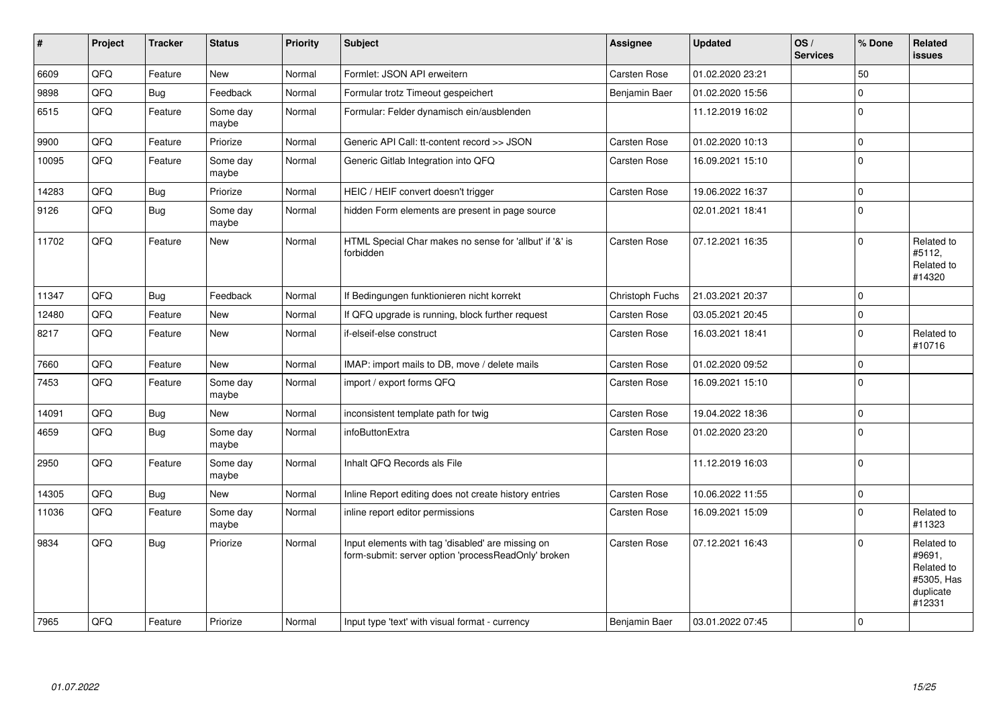| $\sharp$ | Project | <b>Tracker</b> | <b>Status</b>     | Priority | <b>Subject</b>                                                                                           | <b>Assignee</b> | <b>Updated</b>   | OS/<br><b>Services</b> | % Done      | <b>Related</b><br><b>issues</b>                                         |
|----------|---------|----------------|-------------------|----------|----------------------------------------------------------------------------------------------------------|-----------------|------------------|------------------------|-------------|-------------------------------------------------------------------------|
| 6609     | QFQ     | Feature        | <b>New</b>        | Normal   | Formlet: JSON API erweitern                                                                              | Carsten Rose    | 01.02.2020 23:21 |                        | 50          |                                                                         |
| 9898     | QFQ     | Bug            | Feedback          | Normal   | Formular trotz Timeout gespeichert                                                                       | Benjamin Baer   | 01.02.2020 15:56 |                        | $\mathbf 0$ |                                                                         |
| 6515     | QFQ     | Feature        | Some day<br>maybe | Normal   | Formular: Felder dynamisch ein/ausblenden                                                                |                 | 11.12.2019 16:02 |                        | $\mathbf 0$ |                                                                         |
| 9900     | QFQ     | Feature        | Priorize          | Normal   | Generic API Call: tt-content record >> JSON                                                              | Carsten Rose    | 01.02.2020 10:13 |                        | $\pmb{0}$   |                                                                         |
| 10095    | QFQ     | Feature        | Some day<br>maybe | Normal   | Generic Gitlab Integration into QFQ                                                                      | Carsten Rose    | 16.09.2021 15:10 |                        | $\mathbf 0$ |                                                                         |
| 14283    | QFQ     | Bug            | Priorize          | Normal   | HEIC / HEIF convert doesn't trigger                                                                      | Carsten Rose    | 19.06.2022 16:37 |                        | $\mathsf 0$ |                                                                         |
| 9126     | QFQ     | Bug            | Some dav<br>maybe | Normal   | hidden Form elements are present in page source                                                          |                 | 02.01.2021 18:41 |                        | $\mathbf 0$ |                                                                         |
| 11702    | QFQ     | Feature        | <b>New</b>        | Normal   | HTML Special Char makes no sense for 'allbut' if '&' is<br>forbidden                                     | Carsten Rose    | 07.12.2021 16:35 |                        | $\mathbf 0$ | Related to<br>#5112,<br>Related to<br>#14320                            |
| 11347    | QFQ     | Bug            | Feedback          | Normal   | If Bedingungen funktionieren nicht korrekt                                                               | Christoph Fuchs | 21.03.2021 20:37 |                        | $\mathsf 0$ |                                                                         |
| 12480    | QFQ     | Feature        | New               | Normal   | If QFQ upgrade is running, block further request                                                         | Carsten Rose    | 03.05.2021 20:45 |                        | $\mathbf 0$ |                                                                         |
| 8217     | QFQ     | Feature        | <b>New</b>        | Normal   | if-elseif-else construct                                                                                 | Carsten Rose    | 16.03.2021 18:41 |                        | $\mathbf 0$ | Related to<br>#10716                                                    |
| 7660     | QFQ     | Feature        | <b>New</b>        | Normal   | IMAP: import mails to DB, move / delete mails                                                            | Carsten Rose    | 01.02.2020 09:52 |                        | $\mathsf 0$ |                                                                         |
| 7453     | QFQ     | Feature        | Some day<br>maybe | Normal   | import / export forms QFQ                                                                                | Carsten Rose    | 16.09.2021 15:10 |                        | $\mathbf 0$ |                                                                         |
| 14091    | QFQ     | Bug            | <b>New</b>        | Normal   | inconsistent template path for twig                                                                      | Carsten Rose    | 19.04.2022 18:36 |                        | $\pmb{0}$   |                                                                         |
| 4659     | QFQ     | Bug            | Some day<br>maybe | Normal   | infoButtonExtra                                                                                          | Carsten Rose    | 01.02.2020 23:20 |                        | $\mathsf 0$ |                                                                         |
| 2950     | QFQ     | Feature        | Some day<br>maybe | Normal   | Inhalt QFQ Records als File                                                                              |                 | 11.12.2019 16:03 |                        | $\mathbf 0$ |                                                                         |
| 14305    | QFQ     | Bug            | <b>New</b>        | Normal   | Inline Report editing does not create history entries                                                    | Carsten Rose    | 10.06.2022 11:55 |                        | $\mathsf 0$ |                                                                         |
| 11036    | QFQ     | Feature        | Some day<br>maybe | Normal   | inline report editor permissions                                                                         | Carsten Rose    | 16.09.2021 15:09 |                        | $\mathbf 0$ | Related to<br>#11323                                                    |
| 9834     | QFQ     | Bug            | Priorize          | Normal   | Input elements with tag 'disabled' are missing on<br>form-submit: server option 'processReadOnly' broken | Carsten Rose    | 07.12.2021 16:43 |                        | $\mathbf 0$ | Related to<br>#9691.<br>Related to<br>#5305, Has<br>duplicate<br>#12331 |
| 7965     | QFQ     | Feature        | Priorize          | Normal   | Input type 'text' with visual format - currency                                                          | Benjamin Baer   | 03.01.2022 07:45 |                        | $\mathbf 0$ |                                                                         |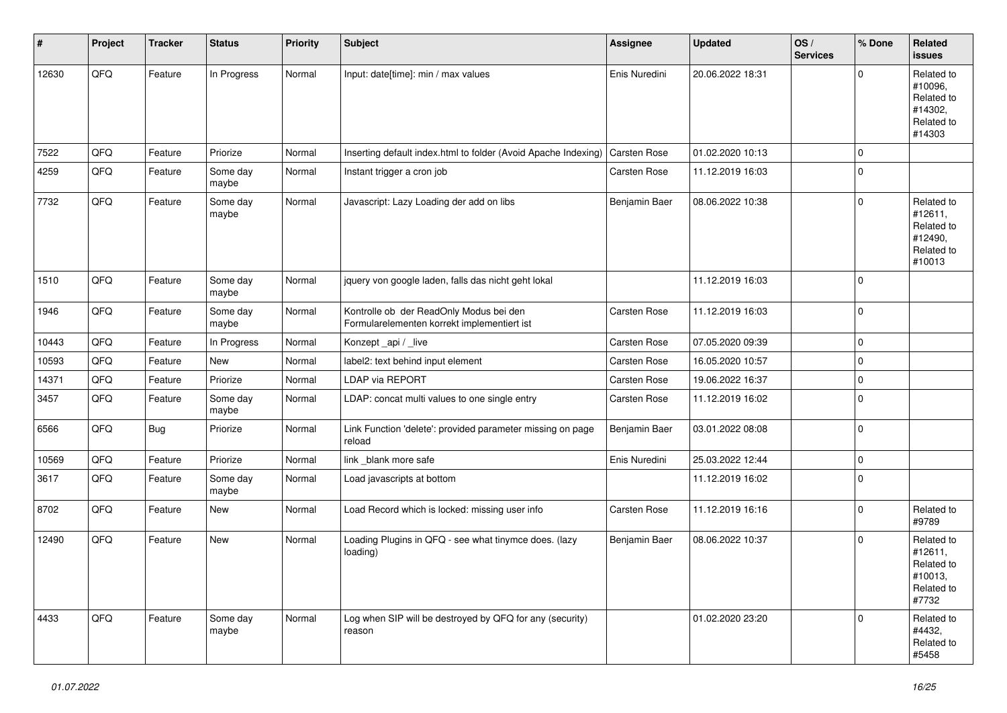| #     | Project | <b>Tracker</b> | <b>Status</b>     | <b>Priority</b> | <b>Subject</b>                                                                         | <b>Assignee</b>     | <b>Updated</b>   | OS/<br><b>Services</b> | % Done       | Related<br><b>issues</b>                                               |
|-------|---------|----------------|-------------------|-----------------|----------------------------------------------------------------------------------------|---------------------|------------------|------------------------|--------------|------------------------------------------------------------------------|
| 12630 | QFQ     | Feature        | In Progress       | Normal          | Input: date[time]: min / max values                                                    | Enis Nuredini       | 20.06.2022 18:31 |                        | $\Omega$     | Related to<br>#10096,<br>Related to<br>#14302,<br>Related to<br>#14303 |
| 7522  | QFQ     | Feature        | Priorize          | Normal          | Inserting default index.html to folder (Avoid Apache Indexing)                         | <b>Carsten Rose</b> | 01.02.2020 10:13 |                        | $\mathbf 0$  |                                                                        |
| 4259  | QFQ     | Feature        | Some day<br>maybe | Normal          | Instant trigger a cron job                                                             | Carsten Rose        | 11.12.2019 16:03 |                        | $\mathbf 0$  |                                                                        |
| 7732  | QFQ     | Feature        | Some day<br>maybe | Normal          | Javascript: Lazy Loading der add on libs                                               | Benjamin Baer       | 08.06.2022 10:38 |                        | $\mathbf 0$  | Related to<br>#12611.<br>Related to<br>#12490,<br>Related to<br>#10013 |
| 1510  | QFQ     | Feature        | Some day<br>maybe | Normal          | jquery von google laden, falls das nicht geht lokal                                    |                     | 11.12.2019 16:03 |                        | $\mathbf 0$  |                                                                        |
| 1946  | QFQ     | Feature        | Some day<br>maybe | Normal          | Kontrolle ob der ReadOnly Modus bei den<br>Formularelementen korrekt implementiert ist | Carsten Rose        | 11.12.2019 16:03 |                        | $\mathbf{0}$ |                                                                        |
| 10443 | QFQ     | Feature        | In Progress       | Normal          | Konzept_api / _live                                                                    | Carsten Rose        | 07.05.2020 09:39 |                        | $\mathbf 0$  |                                                                        |
| 10593 | QFQ     | Feature        | New               | Normal          | label2: text behind input element                                                      | Carsten Rose        | 16.05.2020 10:57 |                        | $\mathbf 0$  |                                                                        |
| 14371 | QFQ     | Feature        | Priorize          | Normal          | <b>LDAP via REPORT</b>                                                                 | Carsten Rose        | 19.06.2022 16:37 |                        | $\mathbf 0$  |                                                                        |
| 3457  | QFQ     | Feature        | Some day<br>maybe | Normal          | LDAP: concat multi values to one single entry                                          | Carsten Rose        | 11.12.2019 16:02 |                        | $\mathbf 0$  |                                                                        |
| 6566  | QFQ     | Bug            | Priorize          | Normal          | Link Function 'delete': provided parameter missing on page<br>reload                   | Benjamin Baer       | 03.01.2022 08:08 |                        | $\mathbf 0$  |                                                                        |
| 10569 | QFQ     | Feature        | Priorize          | Normal          | link _blank more safe                                                                  | Enis Nuredini       | 25.03.2022 12:44 |                        | $\mathbf 0$  |                                                                        |
| 3617  | QFQ     | Feature        | Some day<br>maybe | Normal          | Load javascripts at bottom                                                             |                     | 11.12.2019 16:02 |                        | $\mathbf 0$  |                                                                        |
| 8702  | QFQ     | Feature        | <b>New</b>        | Normal          | Load Record which is locked: missing user info                                         | Carsten Rose        | 11.12.2019 16:16 |                        | $\mathbf 0$  | Related to<br>#9789                                                    |
| 12490 | QFQ     | Feature        | <b>New</b>        | Normal          | Loading Plugins in QFQ - see what tinymce does. (lazy<br>loading)                      | Benjamin Baer       | 08.06.2022 10:37 |                        | $\mathbf 0$  | Related to<br>#12611,<br>Related to<br>#10013,<br>Related to<br>#7732  |
| 4433  | QFQ     | Feature        | Some day<br>maybe | Normal          | Log when SIP will be destroyed by QFQ for any (security)<br>reason                     |                     | 01.02.2020 23:20 |                        | $\mathbf 0$  | Related to<br>#4432,<br>Related to<br>#5458                            |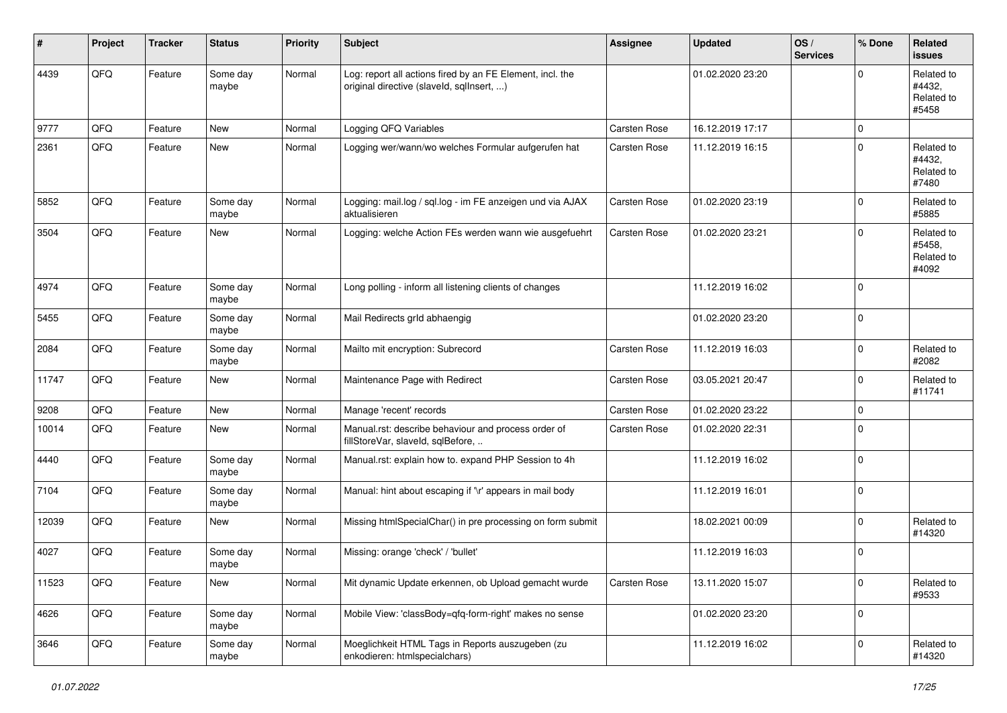| #     | Project | <b>Tracker</b> | <b>Status</b>     | <b>Priority</b> | <b>Subject</b>                                                                                         | <b>Assignee</b>     | <b>Updated</b>   | OS/<br><b>Services</b> | % Done      | Related<br><b>issues</b>                    |
|-------|---------|----------------|-------------------|-----------------|--------------------------------------------------------------------------------------------------------|---------------------|------------------|------------------------|-------------|---------------------------------------------|
| 4439  | QFQ     | Feature        | Some day<br>maybe | Normal          | Log: report all actions fired by an FE Element, incl. the<br>original directive (slaveld, sqlInsert, ) |                     | 01.02.2020 23:20 |                        | $\mathbf 0$ | Related to<br>#4432,<br>Related to<br>#5458 |
| 9777  | QFQ     | Feature        | New               | Normal          | Logging QFQ Variables                                                                                  | Carsten Rose        | 16.12.2019 17:17 |                        | $\mathbf 0$ |                                             |
| 2361  | QFQ     | Feature        | New               | Normal          | Logging wer/wann/wo welches Formular aufgerufen hat                                                    | Carsten Rose        | 11.12.2019 16:15 |                        | $\mathbf 0$ | Related to<br>#4432.<br>Related to<br>#7480 |
| 5852  | QFQ     | Feature        | Some day<br>maybe | Normal          | Logging: mail.log / sql.log - im FE anzeigen und via AJAX<br>aktualisieren                             | <b>Carsten Rose</b> | 01.02.2020 23:19 |                        | $\mathbf 0$ | Related to<br>#5885                         |
| 3504  | QFQ     | Feature        | New               | Normal          | Logging: welche Action FEs werden wann wie ausgefuehrt                                                 | Carsten Rose        | 01.02.2020 23:21 |                        | $\mathbf 0$ | Related to<br>#5458,<br>Related to<br>#4092 |
| 4974  | QFQ     | Feature        | Some day<br>maybe | Normal          | Long polling - inform all listening clients of changes                                                 |                     | 11.12.2019 16:02 |                        | $\mathbf 0$ |                                             |
| 5455  | QFQ     | Feature        | Some day<br>maybe | Normal          | Mail Redirects grld abhaengig                                                                          |                     | 01.02.2020 23:20 |                        | $\mathbf 0$ |                                             |
| 2084  | QFQ     | Feature        | Some day<br>maybe | Normal          | Mailto mit encryption: Subrecord                                                                       | Carsten Rose        | 11.12.2019 16:03 |                        | $\mathbf 0$ | Related to<br>#2082                         |
| 11747 | QFQ     | Feature        | New               | Normal          | Maintenance Page with Redirect                                                                         | Carsten Rose        | 03.05.2021 20:47 |                        | $\mathbf 0$ | Related to<br>#11741                        |
| 9208  | QFQ     | Feature        | New               | Normal          | Manage 'recent' records                                                                                | Carsten Rose        | 01.02.2020 23:22 |                        | $\mathbf 0$ |                                             |
| 10014 | QFQ     | Feature        | New               | Normal          | Manual.rst: describe behaviour and process order of<br>fillStoreVar, slaveId, sqlBefore,               | Carsten Rose        | 01.02.2020 22:31 |                        | $\Omega$    |                                             |
| 4440  | QFQ     | Feature        | Some day<br>maybe | Normal          | Manual.rst: explain how to. expand PHP Session to 4h                                                   |                     | 11.12.2019 16:02 |                        | $\pmb{0}$   |                                             |
| 7104  | QFQ     | Feature        | Some day<br>maybe | Normal          | Manual: hint about escaping if '\r' appears in mail body                                               |                     | 11.12.2019 16:01 |                        | $\mathbf 0$ |                                             |
| 12039 | QFQ     | Feature        | New               | Normal          | Missing htmlSpecialChar() in pre processing on form submit                                             |                     | 18.02.2021 00:09 |                        | $\mathbf 0$ | Related to<br>#14320                        |
| 4027  | QFQ     | Feature        | Some day<br>maybe | Normal          | Missing: orange 'check' / 'bullet'                                                                     |                     | 11.12.2019 16:03 |                        | $\mathbf 0$ |                                             |
| 11523 | QFQ     | Feature        | New               | Normal          | Mit dynamic Update erkennen, ob Upload gemacht wurde                                                   | Carsten Rose        | 13.11.2020 15:07 |                        | $\pmb{0}$   | Related to<br>#9533                         |
| 4626  | QFQ     | Feature        | Some day<br>maybe | Normal          | Mobile View: 'classBody=qfq-form-right' makes no sense                                                 |                     | 01.02.2020 23:20 |                        | $\mathbf 0$ |                                             |
| 3646  | QFQ     | Feature        | Some day<br>maybe | Normal          | Moeglichkeit HTML Tags in Reports auszugeben (zu<br>enkodieren: htmlspecialchars)                      |                     | 11.12.2019 16:02 |                        | $\mathbf 0$ | Related to<br>#14320                        |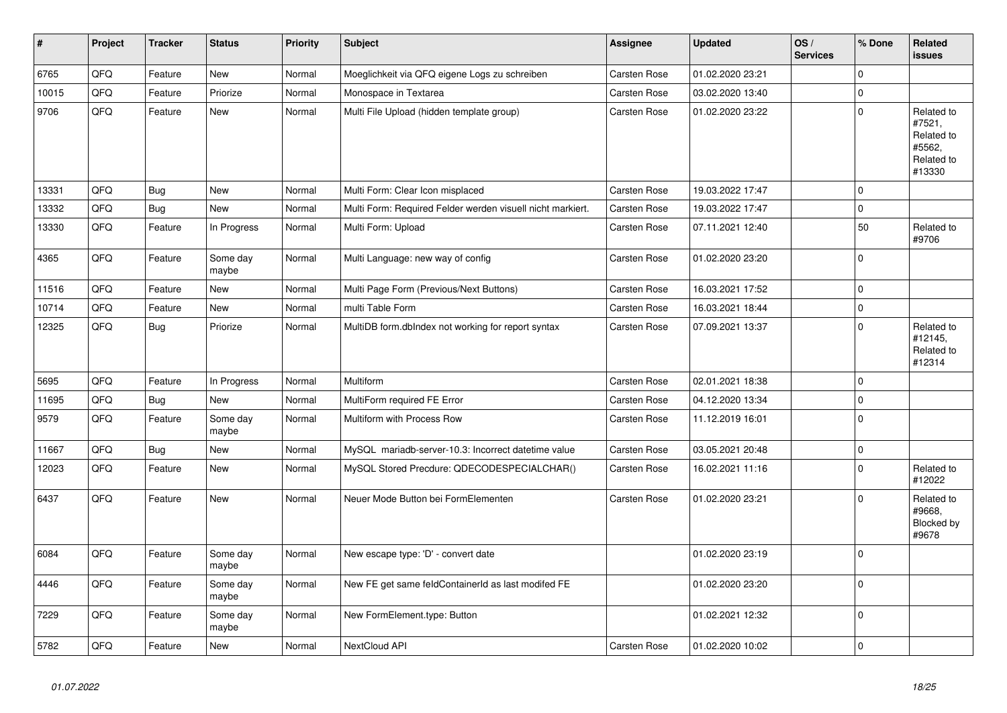| $\vert$ # | Project | <b>Tracker</b> | <b>Status</b>     | <b>Priority</b> | <b>Subject</b>                                             | <b>Assignee</b> | <b>Updated</b>   | OS/<br><b>Services</b> | % Done      | <b>Related</b><br><b>issues</b>                                      |
|-----------|---------|----------------|-------------------|-----------------|------------------------------------------------------------|-----------------|------------------|------------------------|-------------|----------------------------------------------------------------------|
| 6765      | QFQ     | Feature        | <b>New</b>        | Normal          | Moeglichkeit via QFQ eigene Logs zu schreiben              | Carsten Rose    | 01.02.2020 23:21 |                        | $\mathbf 0$ |                                                                      |
| 10015     | QFQ     | Feature        | Priorize          | Normal          | Monospace in Textarea                                      | Carsten Rose    | 03.02.2020 13:40 |                        | $\pmb{0}$   |                                                                      |
| 9706      | QFO     | Feature        | <b>New</b>        | Normal          | Multi File Upload (hidden template group)                  | Carsten Rose    | 01.02.2020 23:22 |                        | $\mathbf 0$ | Related to<br>#7521,<br>Related to<br>#5562,<br>Related to<br>#13330 |
| 13331     | QFQ     | Bug            | <b>New</b>        | Normal          | Multi Form: Clear Icon misplaced                           | Carsten Rose    | 19.03.2022 17:47 |                        | $\mathbf 0$ |                                                                      |
| 13332     | QFQ     | <b>Bug</b>     | <b>New</b>        | Normal          | Multi Form: Required Felder werden visuell nicht markiert. | Carsten Rose    | 19.03.2022 17:47 |                        | $\pmb{0}$   |                                                                      |
| 13330     | QFO     | Feature        | In Progress       | Normal          | Multi Form: Upload                                         | Carsten Rose    | 07.11.2021 12:40 |                        | 50          | Related to<br>#9706                                                  |
| 4365      | QFQ     | Feature        | Some day<br>maybe | Normal          | Multi Language: new way of config                          | Carsten Rose    | 01.02.2020 23:20 |                        | $\mathbf 0$ |                                                                      |
| 11516     | QFQ     | Feature        | <b>New</b>        | Normal          | Multi Page Form (Previous/Next Buttons)                    | Carsten Rose    | 16.03.2021 17:52 |                        | $\mathbf 0$ |                                                                      |
| 10714     | QFQ     | Feature        | <b>New</b>        | Normal          | multi Table Form                                           | Carsten Rose    | 16.03.2021 18:44 |                        | $\mathsf 0$ |                                                                      |
| 12325     | QFQ     | <b>Bug</b>     | Priorize          | Normal          | MultiDB form.dblndex not working for report syntax         | Carsten Rose    | 07.09.2021 13:37 |                        | $\mathbf 0$ | Related to<br>#12145,<br>Related to<br>#12314                        |
| 5695      | QFQ     | Feature        | In Progress       | Normal          | Multiform                                                  | Carsten Rose    | 02.01.2021 18:38 |                        | $\mathsf 0$ |                                                                      |
| 11695     | QFQ     | <b>Bug</b>     | <b>New</b>        | Normal          | MultiForm required FE Error                                | Carsten Rose    | 04.12.2020 13:34 |                        | $\mathsf 0$ |                                                                      |
| 9579      | QFQ     | Feature        | Some day<br>maybe | Normal          | Multiform with Process Row                                 | Carsten Rose    | 11.12.2019 16:01 |                        | $\mathbf 0$ |                                                                      |
| 11667     | QFQ     | <b>Bug</b>     | <b>New</b>        | Normal          | MySQL mariadb-server-10.3: Incorrect datetime value        | Carsten Rose    | 03.05.2021 20:48 |                        | $\mathbf 0$ |                                                                      |
| 12023     | QFQ     | Feature        | <b>New</b>        | Normal          | MySQL Stored Precdure: QDECODESPECIALCHAR()                | Carsten Rose    | 16.02.2021 11:16 |                        | $\mathbf 0$ | Related to<br>#12022                                                 |
| 6437      | QFQ     | Feature        | <b>New</b>        | Normal          | Neuer Mode Button bei FormElementen                        | Carsten Rose    | 01.02.2020 23:21 |                        | $\Omega$    | Related to<br>#9668,<br>Blocked by<br>#9678                          |
| 6084      | QFQ     | Feature        | Some day<br>maybe | Normal          | New escape type: 'D' - convert date                        |                 | 01.02.2020 23:19 |                        | $\mathbf 0$ |                                                                      |
| 4446      | QFQ     | Feature        | Some day<br>maybe | Normal          | New FE get same feldContainerId as last modifed FE         |                 | 01.02.2020 23:20 |                        | $\mathbf 0$ |                                                                      |
| 7229      | QFQ     | Feature        | Some day<br>maybe | Normal          | New FormElement.type: Button                               |                 | 01.02.2021 12:32 |                        | $\mathbf 0$ |                                                                      |
| 5782      | QFQ     | Feature        | <b>New</b>        | Normal          | NextCloud API                                              | Carsten Rose    | 01.02.2020 10:02 |                        | $\pmb{0}$   |                                                                      |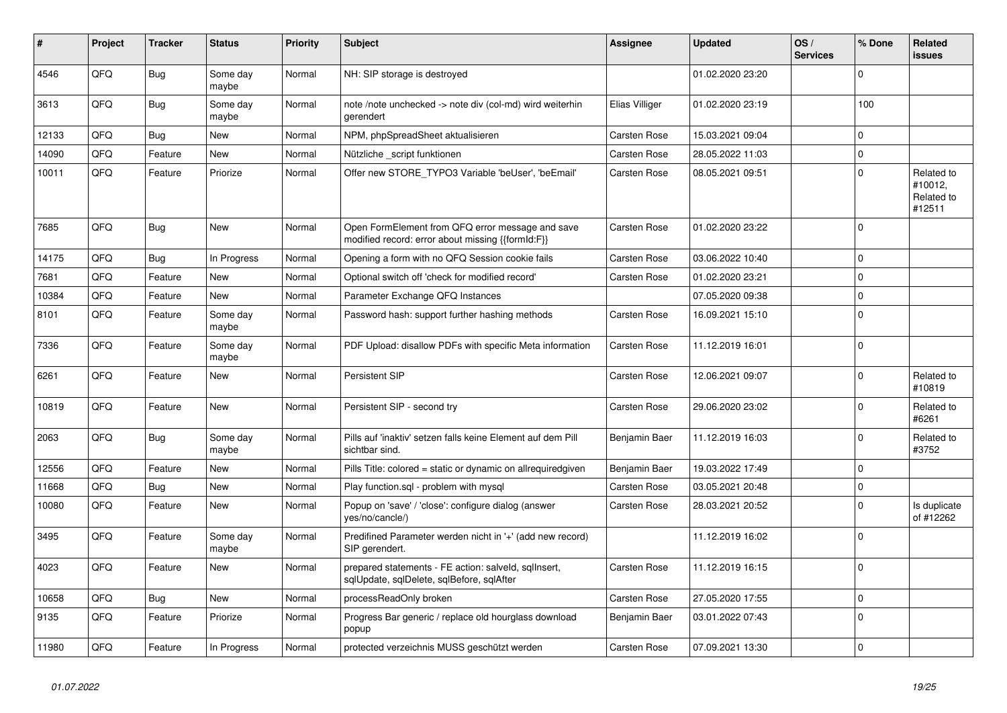| #     | Project | <b>Tracker</b> | <b>Status</b>     | <b>Priority</b> | <b>Subject</b>                                                                                        | <b>Assignee</b> | <b>Updated</b>   | OS/<br><b>Services</b> | % Done       | Related<br><b>issues</b>                      |
|-------|---------|----------------|-------------------|-----------------|-------------------------------------------------------------------------------------------------------|-----------------|------------------|------------------------|--------------|-----------------------------------------------|
| 4546  | QFQ     | Bug            | Some day<br>maybe | Normal          | NH: SIP storage is destroyed                                                                          |                 | 01.02.2020 23:20 |                        | $\Omega$     |                                               |
| 3613  | QFQ     | Bug            | Some day<br>maybe | Normal          | note /note unchecked -> note div (col-md) wird weiterhin<br>gerendert                                 | Elias Villiger  | 01.02.2020 23:19 |                        | 100          |                                               |
| 12133 | QFQ     | <b>Bug</b>     | <b>New</b>        | Normal          | NPM, phpSpreadSheet aktualisieren                                                                     | Carsten Rose    | 15.03.2021 09:04 |                        | $\Omega$     |                                               |
| 14090 | QFQ     | Feature        | New               | Normal          | Nützliche _script funktionen                                                                          | Carsten Rose    | 28.05.2022 11:03 |                        | $\mathbf 0$  |                                               |
| 10011 | QFQ     | Feature        | Priorize          | Normal          | Offer new STORE TYPO3 Variable 'beUser', 'beEmail'                                                    | Carsten Rose    | 08.05.2021 09:51 |                        | $\mathbf 0$  | Related to<br>#10012,<br>Related to<br>#12511 |
| 7685  | QFQ     | <b>Bug</b>     | <b>New</b>        | Normal          | Open FormElement from QFQ error message and save<br>modified record: error about missing {{formId:F}} | Carsten Rose    | 01.02.2020 23:22 |                        | $\mathbf 0$  |                                               |
| 14175 | QFQ     | <b>Bug</b>     | In Progress       | Normal          | Opening a form with no QFQ Session cookie fails                                                       | Carsten Rose    | 03.06.2022 10:40 |                        | $\Omega$     |                                               |
| 7681  | QFQ     | Feature        | New               | Normal          | Optional switch off 'check for modified record'                                                       | Carsten Rose    | 01.02.2020 23:21 |                        | $\mathbf 0$  |                                               |
| 10384 | QFQ     | Feature        | <b>New</b>        | Normal          | Parameter Exchange QFQ Instances                                                                      |                 | 07.05.2020 09:38 |                        | $\mathbf{0}$ |                                               |
| 8101  | QFQ     | Feature        | Some day<br>maybe | Normal          | Password hash: support further hashing methods                                                        | Carsten Rose    | 16.09.2021 15:10 |                        | $\mathbf 0$  |                                               |
| 7336  | QFQ     | Feature        | Some day<br>maybe | Normal          | PDF Upload: disallow PDFs with specific Meta information                                              | Carsten Rose    | 11.12.2019 16:01 |                        | $\mathbf 0$  |                                               |
| 6261  | QFQ     | Feature        | New               | Normal          | Persistent SIP                                                                                        | Carsten Rose    | 12.06.2021 09:07 |                        | $\Omega$     | Related to<br>#10819                          |
| 10819 | QFQ     | Feature        | <b>New</b>        | Normal          | Persistent SIP - second try                                                                           | Carsten Rose    | 29.06.2020 23:02 |                        | $\mathbf 0$  | Related to<br>#6261                           |
| 2063  | QFQ     | <b>Bug</b>     | Some day<br>maybe | Normal          | Pills auf 'inaktiv' setzen falls keine Element auf dem Pill<br>sichtbar sind.                         | Benjamin Baer   | 11.12.2019 16:03 |                        | $\mathbf 0$  | Related to<br>#3752                           |
| 12556 | QFQ     | Feature        | New               | Normal          | Pills Title: colored = static or dynamic on allrequiredgiven                                          | Benjamin Baer   | 19.03.2022 17:49 |                        | $\mathbf 0$  |                                               |
| 11668 | QFQ     | Bug            | New               | Normal          | Play function.sql - problem with mysql                                                                | Carsten Rose    | 03.05.2021 20:48 |                        | $\mathbf 0$  |                                               |
| 10080 | QFQ     | Feature        | New               | Normal          | Popup on 'save' / 'close': configure dialog (answer<br>yes/no/cancle/)                                | Carsten Rose    | 28.03.2021 20:52 |                        | $\mathbf 0$  | Is duplicate<br>of #12262                     |
| 3495  | QFQ     | Feature        | Some day<br>maybe | Normal          | Predifined Parameter werden nicht in '+' (add new record)<br>SIP gerendert.                           |                 | 11.12.2019 16:02 |                        | $\mathbf 0$  |                                               |
| 4023  | QFQ     | Feature        | <b>New</b>        | Normal          | prepared statements - FE action: salveld, sqllnsert,<br>sqlUpdate, sqlDelete, sqlBefore, sqlAfter     | Carsten Rose    | 11.12.2019 16:15 |                        | $\mathbf 0$  |                                               |
| 10658 | QFQ     | <b>Bug</b>     | <b>New</b>        | Normal          | processReadOnly broken                                                                                | Carsten Rose    | 27.05.2020 17:55 |                        | $\mathbf 0$  |                                               |
| 9135  | QFQ     | Feature        | Priorize          | Normal          | Progress Bar generic / replace old hourglass download<br>popup                                        | Benjamin Baer   | 03.01.2022 07:43 |                        | $\mathbf 0$  |                                               |
| 11980 | QFQ     | Feature        | In Progress       | Normal          | protected verzeichnis MUSS geschützt werden                                                           | Carsten Rose    | 07.09.2021 13:30 |                        | $\mathbf 0$  |                                               |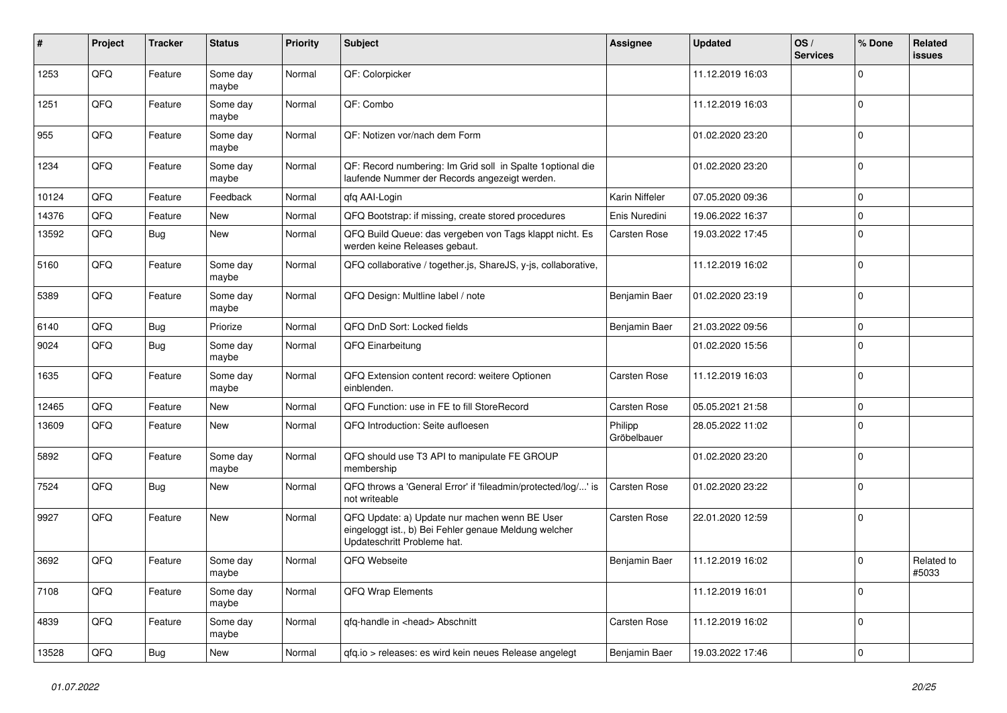| #     | Project | <b>Tracker</b> | <b>Status</b>     | <b>Priority</b> | Subject                                                                                                                               | <b>Assignee</b>        | <b>Updated</b>   | OS/<br><b>Services</b> | % Done      | Related<br><b>issues</b> |
|-------|---------|----------------|-------------------|-----------------|---------------------------------------------------------------------------------------------------------------------------------------|------------------------|------------------|------------------------|-------------|--------------------------|
| 1253  | QFQ     | Feature        | Some day<br>maybe | Normal          | QF: Colorpicker                                                                                                                       |                        | 11.12.2019 16:03 |                        | 0           |                          |
| 1251  | QFQ     | Feature        | Some day<br>maybe | Normal          | QF: Combo                                                                                                                             |                        | 11.12.2019 16:03 |                        | $\mathbf 0$ |                          |
| 955   | QFQ     | Feature        | Some day<br>maybe | Normal          | QF: Notizen vor/nach dem Form                                                                                                         |                        | 01.02.2020 23:20 |                        | 0           |                          |
| 1234  | QFQ     | Feature        | Some day<br>maybe | Normal          | QF: Record numbering: Im Grid soll in Spalte 1 optional die<br>laufende Nummer der Records angezeigt werden.                          |                        | 01.02.2020 23:20 |                        | 0           |                          |
| 10124 | QFQ     | Feature        | Feedback          | Normal          | qfq AAI-Login                                                                                                                         | Karin Niffeler         | 07.05.2020 09:36 |                        | 0           |                          |
| 14376 | QFQ     | Feature        | New               | Normal          | QFQ Bootstrap: if missing, create stored procedures                                                                                   | Enis Nuredini          | 19.06.2022 16:37 |                        | $\Omega$    |                          |
| 13592 | QFQ     | <b>Bug</b>     | New               | Normal          | QFQ Build Queue: das vergeben von Tags klappt nicht. Es<br>werden keine Releases gebaut.                                              | Carsten Rose           | 19.03.2022 17:45 |                        | 0           |                          |
| 5160  | QFQ     | Feature        | Some day<br>maybe | Normal          | QFQ collaborative / together.js, ShareJS, y-js, collaborative,                                                                        |                        | 11.12.2019 16:02 |                        | 0           |                          |
| 5389  | QFQ     | Feature        | Some day<br>maybe | Normal          | QFQ Design: Multline label / note                                                                                                     | Benjamin Baer          | 01.02.2020 23:19 |                        | $\Omega$    |                          |
| 6140  | QFQ     | <b>Bug</b>     | Priorize          | Normal          | QFQ DnD Sort: Locked fields                                                                                                           | Benjamin Baer          | 21.03.2022 09:56 |                        | $\Omega$    |                          |
| 9024  | QFQ     | <b>Bug</b>     | Some day<br>maybe | Normal          | QFQ Einarbeitung                                                                                                                      |                        | 01.02.2020 15:56 |                        | $\Omega$    |                          |
| 1635  | QFQ     | Feature        | Some day<br>maybe | Normal          | QFQ Extension content record: weitere Optionen<br>einblenden.                                                                         | <b>Carsten Rose</b>    | 11.12.2019 16:03 |                        | 0           |                          |
| 12465 | QFQ     | Feature        | New               | Normal          | QFQ Function: use in FE to fill StoreRecord                                                                                           | Carsten Rose           | 05.05.2021 21:58 |                        | 0           |                          |
| 13609 | QFQ     | Feature        | <b>New</b>        | Normal          | QFQ Introduction: Seite aufloesen                                                                                                     | Philipp<br>Gröbelbauer | 28.05.2022 11:02 |                        | $\Omega$    |                          |
| 5892  | QFQ     | Feature        | Some day<br>maybe | Normal          | QFQ should use T3 API to manipulate FE GROUP<br>membership                                                                            |                        | 01.02.2020 23:20 |                        | $\Omega$    |                          |
| 7524  | QFQ     | <b>Bug</b>     | <b>New</b>        | Normal          | QFQ throws a 'General Error' if 'fileadmin/protected/log/' is<br>not writeable                                                        | <b>Carsten Rose</b>    | 01.02.2020 23:22 |                        | $\Omega$    |                          |
| 9927  | QFQ     | Feature        | <b>New</b>        | Normal          | QFQ Update: a) Update nur machen wenn BE User<br>eingeloggt ist., b) Bei Fehler genaue Meldung welcher<br>Updateschritt Probleme hat. | <b>Carsten Rose</b>    | 22.01.2020 12:59 |                        | $\mathbf 0$ |                          |
| 3692  | QFQ     | Feature        | Some day<br>maybe | Normal          | QFQ Webseite                                                                                                                          | Benjamin Baer          | 11.12.2019 16:02 |                        | $\Omega$    | Related to<br>#5033      |
| 7108  | QFQ     | Feature        | Some day<br>maybe | Normal          | QFQ Wrap Elements                                                                                                                     |                        | 11.12.2019 16:01 |                        | 0           |                          |
| 4839  | QFQ     | Feature        | Some day<br>maybe | Normal          | qfq-handle in <head> Abschnitt</head>                                                                                                 | Carsten Rose           | 11.12.2019 16:02 |                        | $\mathbf 0$ |                          |
| 13528 | QFQ     | Bug            | New               | Normal          | gfg.io > releases: es wird kein neues Release angelegt                                                                                | Benjamin Baer          | 19.03.2022 17:46 |                        | 0           |                          |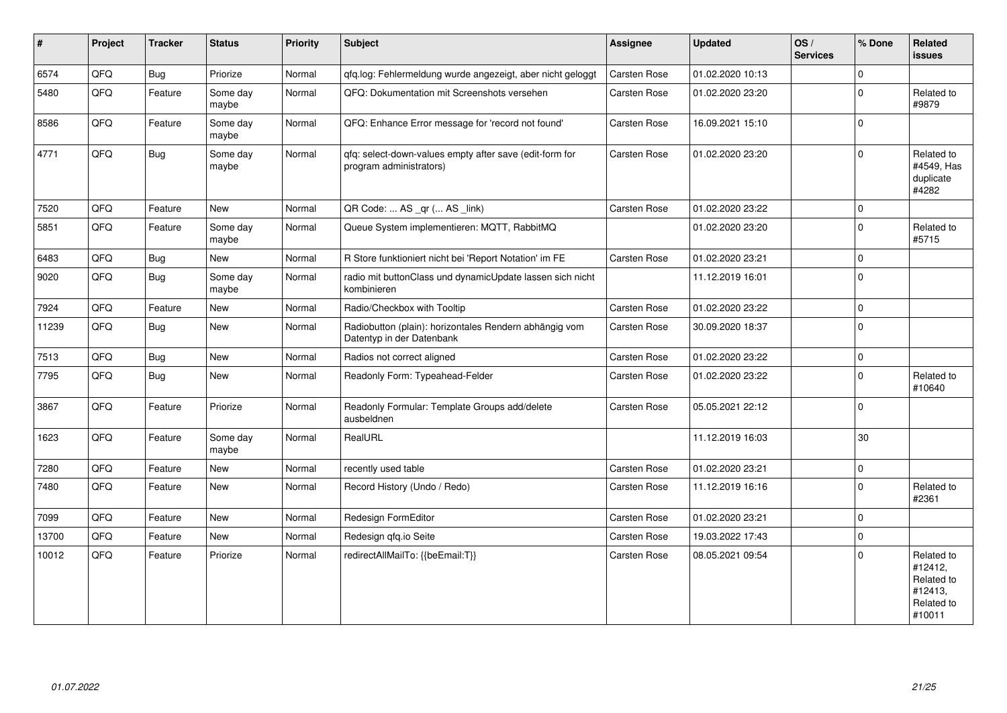| $\vert$ # | Project | <b>Tracker</b> | <b>Status</b>     | <b>Priority</b> | <b>Subject</b>                                                                      | Assignee            | <b>Updated</b>   | OS/<br><b>Services</b> | % Done       | Related<br><b>issues</b>                                               |
|-----------|---------|----------------|-------------------|-----------------|-------------------------------------------------------------------------------------|---------------------|------------------|------------------------|--------------|------------------------------------------------------------------------|
| 6574      | QFQ     | Bug            | Priorize          | Normal          | qfq.log: Fehlermeldung wurde angezeigt, aber nicht geloggt                          | Carsten Rose        | 01.02.2020 10:13 |                        | $\Omega$     |                                                                        |
| 5480      | QFQ     | Feature        | Some day<br>maybe | Normal          | QFQ: Dokumentation mit Screenshots versehen                                         | Carsten Rose        | 01.02.2020 23:20 |                        | $\mathbf 0$  | Related to<br>#9879                                                    |
| 8586      | QFQ     | Feature        | Some day<br>maybe | Normal          | QFQ: Enhance Error message for 'record not found'                                   | Carsten Rose        | 16.09.2021 15:10 |                        | $\mathbf 0$  |                                                                        |
| 4771      | QFQ     | Bug            | Some day<br>maybe | Normal          | qfq: select-down-values empty after save (edit-form for<br>program administrators)  | <b>Carsten Rose</b> | 01.02.2020 23:20 |                        | $\Omega$     | Related to<br>#4549, Has<br>duplicate<br>#4282                         |
| 7520      | QFQ     | Feature        | <b>New</b>        | Normal          | QR Code:  AS _qr ( AS _link)                                                        | Carsten Rose        | 01.02.2020 23:22 |                        | $\mathbf 0$  |                                                                        |
| 5851      | QFQ     | Feature        | Some day<br>maybe | Normal          | Queue System implementieren: MQTT, RabbitMQ                                         |                     | 01.02.2020 23:20 |                        | $\Omega$     | Related to<br>#5715                                                    |
| 6483      | QFQ     | <b>Bug</b>     | <b>New</b>        | Normal          | R Store funktioniert nicht bei 'Report Notation' im FE                              | Carsten Rose        | 01.02.2020 23:21 |                        | $\mathbf 0$  |                                                                        |
| 9020      | QFQ     | Bug            | Some day<br>maybe | Normal          | radio mit buttonClass und dynamicUpdate lassen sich nicht<br>kombinieren            |                     | 11.12.2019 16:01 |                        | $\mathbf 0$  |                                                                        |
| 7924      | QFQ     | Feature        | <b>New</b>        | Normal          | Radio/Checkbox with Tooltip                                                         | Carsten Rose        | 01.02.2020 23:22 |                        | $\mathbf 0$  |                                                                        |
| 11239     | QFQ     | Bug            | <b>New</b>        | Normal          | Radiobutton (plain): horizontales Rendern abhängig vom<br>Datentyp in der Datenbank | Carsten Rose        | 30.09.2020 18:37 |                        | $\mathbf 0$  |                                                                        |
| 7513      | QFQ     | Bug            | <b>New</b>        | Normal          | Radios not correct aligned                                                          | Carsten Rose        | 01.02.2020 23:22 |                        | $\mathbf{0}$ |                                                                        |
| 7795      | QFQ     | Bug            | New               | Normal          | Readonly Form: Typeahead-Felder                                                     | Carsten Rose        | 01.02.2020 23:22 |                        | $\mathbf{0}$ | Related to<br>#10640                                                   |
| 3867      | QFQ     | Feature        | Priorize          | Normal          | Readonly Formular: Template Groups add/delete<br>ausbeldnen                         | Carsten Rose        | 05.05.2021 22:12 |                        | $\mathsf 0$  |                                                                        |
| 1623      | QFQ     | Feature        | Some day<br>maybe | Normal          | RealURL                                                                             |                     | 11.12.2019 16:03 |                        | 30           |                                                                        |
| 7280      | QFQ     | Feature        | <b>New</b>        | Normal          | recently used table                                                                 | Carsten Rose        | 01.02.2020 23:21 |                        | $\pmb{0}$    |                                                                        |
| 7480      | QFQ     | Feature        | <b>New</b>        | Normal          | Record History (Undo / Redo)                                                        | Carsten Rose        | 11.12.2019 16:16 |                        | $\mathbf{0}$ | Related to<br>#2361                                                    |
| 7099      | QFQ     | Feature        | <b>New</b>        | Normal          | Redesign FormEditor                                                                 | Carsten Rose        | 01.02.2020 23:21 |                        | $\mathbf 0$  |                                                                        |
| 13700     | QFQ     | Feature        | <b>New</b>        | Normal          | Redesign gfg.io Seite                                                               | Carsten Rose        | 19.03.2022 17:43 |                        | $\mathbf 0$  |                                                                        |
| 10012     | QFQ     | Feature        | Priorize          | Normal          | redirectAllMailTo: {{beEmail:T}}                                                    | Carsten Rose        | 08.05.2021 09:54 |                        | $\mathbf 0$  | Related to<br>#12412,<br>Related to<br>#12413.<br>Related to<br>#10011 |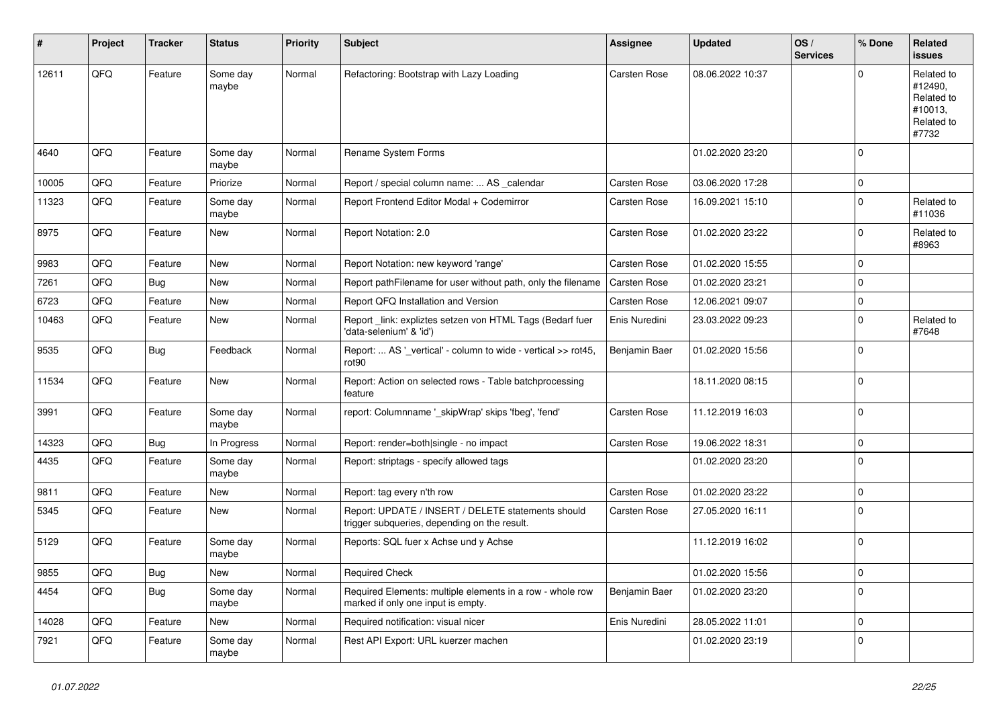| ∦     | Project | <b>Tracker</b> | <b>Status</b>     | <b>Priority</b> | Subject                                                                                            | <b>Assignee</b> | <b>Updated</b>   | OS/<br><b>Services</b> | % Done       | Related<br>issues                                                     |
|-------|---------|----------------|-------------------|-----------------|----------------------------------------------------------------------------------------------------|-----------------|------------------|------------------------|--------------|-----------------------------------------------------------------------|
| 12611 | QFQ     | Feature        | Some day<br>maybe | Normal          | Refactoring: Bootstrap with Lazy Loading                                                           | Carsten Rose    | 08.06.2022 10:37 |                        | $\Omega$     | Related to<br>#12490,<br>Related to<br>#10013.<br>Related to<br>#7732 |
| 4640  | QFQ     | Feature        | Some day<br>maybe | Normal          | Rename System Forms                                                                                |                 | 01.02.2020 23:20 |                        | $\Omega$     |                                                                       |
| 10005 | QFQ     | Feature        | Priorize          | Normal          | Report / special column name:  AS _calendar                                                        | Carsten Rose    | 03.06.2020 17:28 |                        | $\mathbf 0$  |                                                                       |
| 11323 | QFQ     | Feature        | Some day<br>maybe | Normal          | Report Frontend Editor Modal + Codemirror                                                          | Carsten Rose    | 16.09.2021 15:10 |                        | $\mathbf 0$  | Related to<br>#11036                                                  |
| 8975  | QFQ     | Feature        | New               | Normal          | Report Notation: 2.0                                                                               | Carsten Rose    | 01.02.2020 23:22 |                        | $\mathbf 0$  | Related to<br>#8963                                                   |
| 9983  | QFQ     | Feature        | <b>New</b>        | Normal          | Report Notation: new keyword 'range'                                                               | Carsten Rose    | 01.02.2020 15:55 |                        | $\Omega$     |                                                                       |
| 7261  | QFQ     | Bug            | <b>New</b>        | Normal          | Report pathFilename for user without path, only the filename                                       | Carsten Rose    | 01.02.2020 23:21 |                        | $\mathbf 0$  |                                                                       |
| 6723  | QFQ     | Feature        | New               | Normal          | Report QFQ Installation and Version                                                                | Carsten Rose    | 12.06.2021 09:07 |                        | $\mathbf 0$  |                                                                       |
| 10463 | QFQ     | Feature        | New               | Normal          | Report_link: expliztes setzen von HTML Tags (Bedarf fuer<br>'data-selenium' & 'id')                | Enis Nuredini   | 23.03.2022 09:23 |                        | $\mathbf 0$  | Related to<br>#7648                                                   |
| 9535  | QFQ     | Bug            | Feedback          | Normal          | Report:  AS '_vertical' - column to wide - vertical >> rot45,<br>rot90                             | Benjamin Baer   | 01.02.2020 15:56 |                        | $\Omega$     |                                                                       |
| 11534 | QFQ     | Feature        | <b>New</b>        | Normal          | Report: Action on selected rows - Table batchprocessing<br>feature                                 |                 | 18.11.2020 08:15 |                        | $\mathbf 0$  |                                                                       |
| 3991  | QFQ     | Feature        | Some day<br>maybe | Normal          | report: Columnname '_skipWrap' skips 'fbeg', 'fend'                                                | Carsten Rose    | 11.12.2019 16:03 |                        | $\mathbf 0$  |                                                                       |
| 14323 | QFQ     | Bug            | In Progress       | Normal          | Report: render=both single - no impact                                                             | Carsten Rose    | 19.06.2022 18:31 |                        | $\mathbf 0$  |                                                                       |
| 4435  | QFQ     | Feature        | Some day<br>maybe | Normal          | Report: striptags - specify allowed tags                                                           |                 | 01.02.2020 23:20 |                        | $\mathbf 0$  |                                                                       |
| 9811  | QFQ     | Feature        | New               | Normal          | Report: tag every n'th row                                                                         | Carsten Rose    | 01.02.2020 23:22 |                        | $\mathbf 0$  |                                                                       |
| 5345  | QFQ     | Feature        | <b>New</b>        | Normal          | Report: UPDATE / INSERT / DELETE statements should<br>trigger subqueries, depending on the result. | Carsten Rose    | 27.05.2020 16:11 |                        | $\Omega$     |                                                                       |
| 5129  | QFQ     | Feature        | Some day<br>maybe | Normal          | Reports: SQL fuer x Achse und y Achse                                                              |                 | 11.12.2019 16:02 |                        | $\mathbf 0$  |                                                                       |
| 9855  | QFG     | <b>Bug</b>     | New               | Normal          | Required Check                                                                                     |                 | 01.02.2020 15:56 |                        | $\mathsf{U}$ |                                                                       |
| 4454  | QFQ     | <b>Bug</b>     | Some day<br>maybe | Normal          | Required Elements: multiple elements in a row - whole row<br>marked if only one input is empty.    | Benjamin Baer   | 01.02.2020 23:20 |                        | $\mathbf 0$  |                                                                       |
| 14028 | QFO     | Feature        | New               | Normal          | Required notification: visual nicer                                                                | Enis Nuredini   | 28.05.2022 11:01 |                        | $\mathbf 0$  |                                                                       |
| 7921  | QFQ     | Feature        | Some day<br>maybe | Normal          | Rest API Export: URL kuerzer machen                                                                |                 | 01.02.2020 23:19 |                        | $\mathbf 0$  |                                                                       |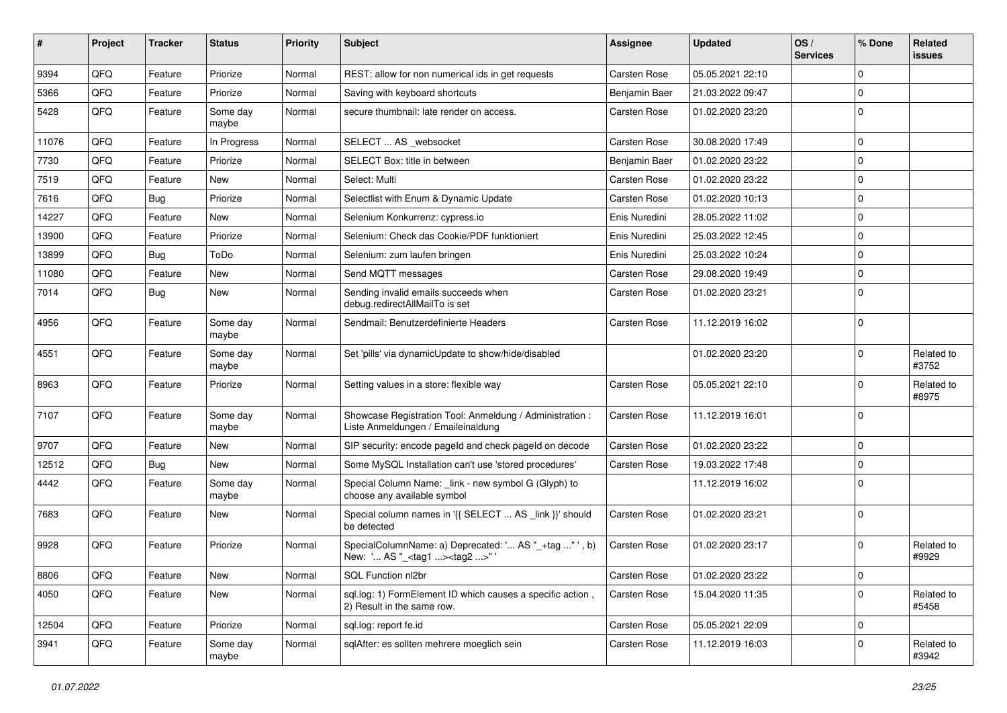| $\pmb{\#}$ | Project | <b>Tracker</b> | <b>Status</b>     | <b>Priority</b> | Subject                                                                                           | <b>Assignee</b> | <b>Updated</b>   | OS/<br><b>Services</b> | % Done      | Related<br><b>issues</b> |
|------------|---------|----------------|-------------------|-----------------|---------------------------------------------------------------------------------------------------|-----------------|------------------|------------------------|-------------|--------------------------|
| 9394       | QFQ     | Feature        | Priorize          | Normal          | REST: allow for non numerical ids in get requests                                                 | Carsten Rose    | 05.05.2021 22:10 |                        | $\Omega$    |                          |
| 5366       | QFQ     | Feature        | Priorize          | Normal          | Saving with keyboard shortcuts                                                                    | Benjamin Baer   | 21.03.2022 09:47 |                        | 0           |                          |
| 5428       | QFQ     | Feature        | Some day<br>maybe | Normal          | secure thumbnail: late render on access.                                                          | Carsten Rose    | 01.02.2020 23:20 |                        | $\Omega$    |                          |
| 11076      | QFQ     | Feature        | In Progress       | Normal          | SELECT  AS _websocket                                                                             | Carsten Rose    | 30.08.2020 17:49 |                        | $\Omega$    |                          |
| 7730       | QFQ     | Feature        | Priorize          | Normal          | SELECT Box: title in between                                                                      | Benjamin Baer   | 01.02.2020 23:22 |                        | $\Omega$    |                          |
| 7519       | QFQ     | Feature        | New               | Normal          | Select: Multi                                                                                     | Carsten Rose    | 01.02.2020 23:22 |                        | $\mathbf 0$ |                          |
| 7616       | QFQ     | Bug            | Priorize          | Normal          | Selectlist with Enum & Dynamic Update                                                             | Carsten Rose    | 01.02.2020 10:13 |                        | $\Omega$    |                          |
| 14227      | QFQ     | Feature        | New               | Normal          | Selenium Konkurrenz: cypress.io                                                                   | Enis Nuredini   | 28.05.2022 11:02 |                        | $\Omega$    |                          |
| 13900      | QFQ     | Feature        | Priorize          | Normal          | Selenium: Check das Cookie/PDF funktioniert                                                       | Enis Nuredini   | 25.03.2022 12:45 |                        | $\Omega$    |                          |
| 13899      | QFQ     | Bug            | ToDo              | Normal          | Selenium: zum laufen bringen                                                                      | Enis Nuredini   | 25.03.2022 10:24 |                        | $\mathbf 0$ |                          |
| 11080      | QFQ     | Feature        | New               | Normal          | Send MQTT messages                                                                                | Carsten Rose    | 29.08.2020 19:49 |                        | 0           |                          |
| 7014       | QFQ     | Bug            | New               | Normal          | Sending invalid emails succeeds when<br>debug.redirectAllMailTo is set                            | Carsten Rose    | 01.02.2020 23:21 |                        | $\Omega$    |                          |
| 4956       | QFQ     | Feature        | Some day<br>maybe | Normal          | Sendmail: Benutzerdefinierte Headers                                                              | Carsten Rose    | 11.12.2019 16:02 |                        | $\mathbf 0$ |                          |
| 4551       | QFQ     | Feature        | Some day<br>maybe | Normal          | Set 'pills' via dynamicUpdate to show/hide/disabled                                               |                 | 01.02.2020 23:20 |                        | 0           | Related to<br>#3752      |
| 8963       | QFQ     | Feature        | Priorize          | Normal          | Setting values in a store: flexible way                                                           | Carsten Rose    | 05.05.2021 22:10 |                        | $\Omega$    | Related to<br>#8975      |
| 7107       | QFQ     | Feature        | Some day<br>maybe | Normal          | Showcase Registration Tool: Anmeldung / Administration :<br>Liste Anmeldungen / Emaileinaldung    | Carsten Rose    | 11.12.2019 16:01 |                        | $\Omega$    |                          |
| 9707       | QFQ     | Feature        | New               | Normal          | SIP security: encode pageld and check pageld on decode                                            | Carsten Rose    | 01.02.2020 23:22 |                        | 0           |                          |
| 12512      | QFQ     | Bug            | New               | Normal          | Some MySQL Installation can't use 'stored procedures'                                             | Carsten Rose    | 19.03.2022 17:48 |                        | 0           |                          |
| 4442       | QFQ     | Feature        | Some day<br>maybe | Normal          | Special Column Name: _link - new symbol G (Glyph) to<br>choose any available symbol               |                 | 11.12.2019 16:02 |                        | $\Omega$    |                          |
| 7683       | QFQ     | Feature        | New               | Normal          | Special column names in '{{ SELECT  AS _link }}' should<br>be detected                            | Carsten Rose    | 01.02.2020 23:21 |                        | $\Omega$    |                          |
| 9928       | QFQ     | Feature        | Priorize          | Normal          | SpecialColumnName: a) Deprecated: ' AS "_+tag " ', b)<br>New: ' AS "_ <tag1><tag2>"</tag2></tag1> | Carsten Rose    | 01.02.2020 23:17 |                        | $\Omega$    | Related to<br>#9929      |
| 8806       | QFQ     | Feature        | New               | Normal          | SQL Function nl2br                                                                                | Carsten Rose    | 01.02.2020 23:22 |                        | $\mathbf 0$ |                          |
| 4050       | QFQ     | Feature        | New               | Normal          | sql.log: 1) FormElement ID which causes a specific action,<br>2) Result in the same row.          | Carsten Rose    | 15.04.2020 11:35 |                        | 0           | Related to<br>#5458      |
| 12504      | QFQ     | Feature        | Priorize          | Normal          | sql.log: report fe.id                                                                             | Carsten Rose    | 05.05.2021 22:09 |                        | $\mathbf 0$ |                          |
| 3941       | QFQ     | Feature        | Some day<br>maybe | Normal          | sqlAfter: es sollten mehrere moeglich sein                                                        | Carsten Rose    | 11.12.2019 16:03 |                        | $\Omega$    | Related to<br>#3942      |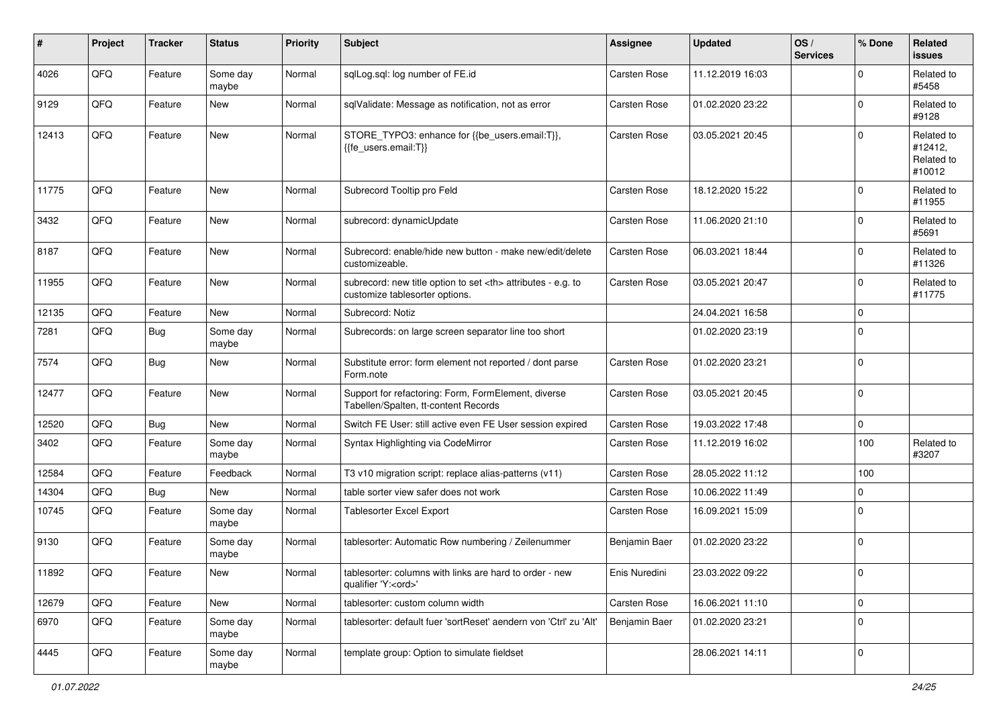| $\pmb{\#}$ | Project | <b>Tracker</b> | <b>Status</b>     | <b>Priority</b> | <b>Subject</b>                                                                                       | <b>Assignee</b>                                        | <b>Updated</b>   | OS/<br><b>Services</b> | % Done      | Related<br>issues                             |                      |
|------------|---------|----------------|-------------------|-----------------|------------------------------------------------------------------------------------------------------|--------------------------------------------------------|------------------|------------------------|-------------|-----------------------------------------------|----------------------|
| 4026       | QFQ     | Feature        | Some day<br>maybe | Normal          | sqlLog.sql: log number of FE.id                                                                      | Carsten Rose                                           | 11.12.2019 16:03 |                        | $\Omega$    | Related to<br>#5458                           |                      |
| 9129       | QFQ     | Feature        | New               | Normal          | sqlValidate: Message as notification, not as error                                                   | Carsten Rose                                           | 01.02.2020 23:22 |                        | $\mathbf 0$ | Related to<br>#9128                           |                      |
| 12413      | QFQ     | Feature        | <b>New</b>        | Normal          | STORE_TYPO3: enhance for {{be_users.email:T}},<br>{{fe users.email:T}}                               | Carsten Rose                                           | 03.05.2021 20:45 |                        | $\Omega$    | Related to<br>#12412,<br>Related to<br>#10012 |                      |
| 11775      | QFQ     | Feature        | New               | Normal          | Subrecord Tooltip pro Feld                                                                           | Carsten Rose                                           | 18.12.2020 15:22 |                        | $\mathbf 0$ | Related to<br>#11955                          |                      |
| 3432       | QFQ     | Feature        | <b>New</b>        | Normal          | subrecord: dynamicUpdate                                                                             | Carsten Rose                                           | 11.06.2020 21:10 |                        | $\Omega$    | Related to<br>#5691                           |                      |
| 8187       | QFQ     | Feature        | New               | Normal          | Subrecord: enable/hide new button - make new/edit/delete<br>customizeable.                           | Carsten Rose                                           | 06.03.2021 18:44 |                        | $\mathbf 0$ | Related to<br>#11326                          |                      |
| 11955      | QFQ     | Feature        | New               | Normal          | subrecord: new title option to set <th> attributes - e.g. to<br/>customize tablesorter options.</th> | attributes - e.g. to<br>customize tablesorter options. | Carsten Rose     | 03.05.2021 20:47       |             | $\mathbf 0$                                   | Related to<br>#11775 |
| 12135      | QFQ     | Feature        | New               | Normal          | Subrecord: Notiz                                                                                     |                                                        | 24.04.2021 16:58 |                        | $\mathbf 0$ |                                               |                      |
| 7281       | QFQ     | Bug            | Some day<br>maybe | Normal          | Subrecords: on large screen separator line too short                                                 |                                                        | 01.02.2020 23:19 |                        | $\mathbf 0$ |                                               |                      |
| 7574       | QFQ     | Bug            | <b>New</b>        | Normal          | Substitute error: form element not reported / dont parse<br>Form.note                                | <b>Carsten Rose</b>                                    | 01.02.2020 23:21 |                        | $\mathbf 0$ |                                               |                      |
| 12477      | QFQ     | Feature        | <b>New</b>        | Normal          | Support for refactoring: Form, FormElement, diverse<br>Tabellen/Spalten, tt-content Records          | Carsten Rose                                           | 03.05.2021 20:45 |                        | $\Omega$    |                                               |                      |
| 12520      | QFQ     | Bug            | <b>New</b>        | Normal          | Switch FE User: still active even FE User session expired                                            | Carsten Rose                                           | 19.03.2022 17:48 |                        | $\mathbf 0$ |                                               |                      |
| 3402       | QFQ     | Feature        | Some day<br>maybe | Normal          | Syntax Highlighting via CodeMirror                                                                   | Carsten Rose                                           | 11.12.2019 16:02 |                        | 100         | Related to<br>#3207                           |                      |
| 12584      | QFQ     | Feature        | Feedback          | Normal          | T3 v10 migration script: replace alias-patterns (v11)                                                | Carsten Rose                                           | 28.05.2022 11:12 |                        | 100         |                                               |                      |
| 14304      | QFQ     | Bug            | <b>New</b>        | Normal          | table sorter view safer does not work                                                                | Carsten Rose                                           | 10.06.2022 11:49 |                        | $\mathbf 0$ |                                               |                      |
| 10745      | QFQ     | Feature        | Some day<br>maybe | Normal          | Tablesorter Excel Export                                                                             | Carsten Rose                                           | 16.09.2021 15:09 |                        | $\mathbf 0$ |                                               |                      |
| 9130       | QFQ     | Feature        | Some day<br>maybe | Normal          | tablesorter: Automatic Row numbering / Zeilenummer                                                   | Benjamin Baer                                          | 01.02.2020 23:22 |                        | $\mathbf 0$ |                                               |                      |
| 11892      | QFG     | I Feature      | New               | Normal          | tablesorter: columns with links are hard to order - new<br>qualifier 'Y: <ord>'</ord>                | Enis Nuredini                                          | 23.03.2022 09:22 |                        | 0           |                                               |                      |
| 12679      | QFQ     | Feature        | New               | Normal          | tablesorter: custom column width                                                                     | Carsten Rose                                           | 16.06.2021 11:10 |                        | $\mathbf 0$ |                                               |                      |
| 6970       | QFQ     | Feature        | Some day<br>maybe | Normal          | tablesorter: default fuer 'sortReset' aendern von 'Ctrl' zu 'Alt'                                    | Benjamin Baer                                          | 01.02.2020 23:21 |                        | $\mathbf 0$ |                                               |                      |
| 4445       | QFO     | Feature        | Some day<br>maybe | Normal          | template group: Option to simulate fieldset                                                          |                                                        | 28.06.2021 14:11 |                        | $\mathbf 0$ |                                               |                      |